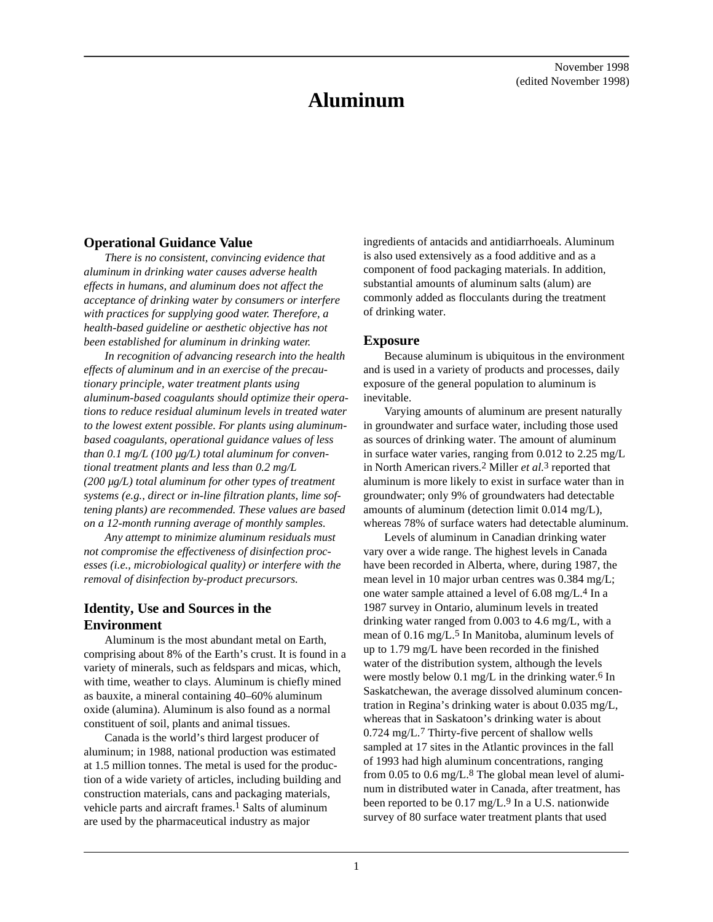# **Aluminum**

# **Operational Guidance Value**

*There is no consistent, convincing evidence that aluminum in drinking water causes adverse health effects in humans, and aluminum does not affect the acceptance of drinking water by consumers or interfere with practices for supplying good water. Therefore, a health-based guideline or aesthetic objective has not been established for aluminum in drinking water.*

*In recognition of advancing research into the health effects of aluminum and in an exercise of the precautionary principle, water treatment plants using aluminum-based coagulants should optimize their operations to reduce residual aluminum levels in treated water to the lowest extent possible. For plants using aluminumbased coagulants, operational guidance values of less than 0.1 mg/L (100 µg/L) total aluminum for conventional treatment plants and less than 0.2 mg/L (200 µg/L) total aluminum for other types of treatment systems (e.g., direct or in-line filtration plants, lime softening plants) are recommended. These values are based on a 12-month running average of monthly samples.*

*Any attempt to minimize aluminum residuals must not compromise the effectiveness of disinfection processes (i.e., microbiological quality) or interfere with the removal of disinfection by-product precursors.*

# **Identity, Use and Sources in the Environment**

Aluminum is the most abundant metal on Earth, comprising about 8% of the Earth's crust. It is found in a variety of minerals, such as feldspars and micas, which, with time, weather to clays. Aluminum is chiefly mined as bauxite, a mineral containing 40–60% aluminum oxide (alumina). Aluminum is also found as a normal constituent of soil, plants and animal tissues.

Canada is the world's third largest producer of aluminum; in 1988, national production was estimated at 1.5 million tonnes. The metal is used for the production of a wide variety of articles, including building and construction materials, cans and packaging materials, vehicle parts and aircraft frames.<sup>1</sup> Salts of aluminum are used by the pharmaceutical industry as major

ingredients of antacids and antidiarrhoeals. Aluminum is also used extensively as a food additive and as a component of food packaging materials. In addition, substantial amounts of aluminum salts (alum) are commonly added as flocculants during the treatment of drinking water.

## **Exposure**

Because aluminum is ubiquitous in the environment and is used in a variety of products and processes, daily exposure of the general population to aluminum is inevitable.

Varying amounts of aluminum are present naturally in groundwater and surface water, including those used as sources of drinking water. The amount of aluminum in surface water varies, ranging from 0.012 to 2.25 mg/L in North American rivers.2 Miller *et al.*3 reported that aluminum is more likely to exist in surface water than in groundwater; only 9% of groundwaters had detectable amounts of aluminum (detection limit 0.014 mg/L), whereas 78% of surface waters had detectable aluminum.

Levels of aluminum in Canadian drinking water vary over a wide range. The highest levels in Canada have been recorded in Alberta, where, during 1987, the mean level in 10 major urban centres was 0.384 mg/L; one water sample attained a level of 6.08 mg/L.4 In a 1987 survey in Ontario, aluminum levels in treated drinking water ranged from 0.003 to 4.6 mg/L, with a mean of 0.16 mg/L.5 In Manitoba, aluminum levels of up to 1.79 mg/L have been recorded in the finished water of the distribution system, although the levels were mostly below 0.1 mg/L in the drinking water.<sup>6</sup> In Saskatchewan, the average dissolved aluminum concentration in Regina's drinking water is about 0.035 mg/L, whereas that in Saskatoon's drinking water is about 0.724 mg/L.7 Thirty-five percent of shallow wells sampled at 17 sites in the Atlantic provinces in the fall of 1993 had high aluminum concentrations, ranging from 0.05 to 0.6 mg/L.8 The global mean level of aluminum in distributed water in Canada, after treatment, has been reported to be 0.17 mg/L.<sup>9</sup> In a U.S. nationwide survey of 80 surface water treatment plants that used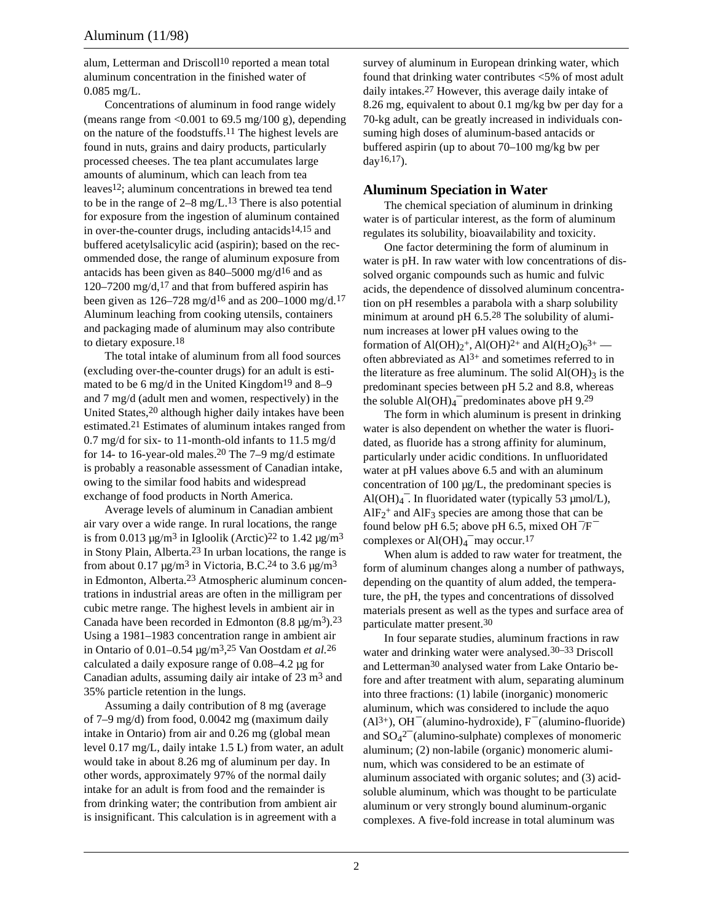alum, Letterman and Driscoll<sup>10</sup> reported a mean total aluminum concentration in the finished water of 0.085 mg/L.

Concentrations of aluminum in food range widely (means range from  $\langle 0.001 \rangle$  to 69.5 mg/100 g), depending on the nature of the foodstuffs.11 The highest levels are found in nuts, grains and dairy products, particularly processed cheeses. The tea plant accumulates large amounts of aluminum, which can leach from tea leaves12; aluminum concentrations in brewed tea tend to be in the range of  $2-8$  mg/L.<sup>13</sup> There is also potential for exposure from the ingestion of aluminum contained in over-the-counter drugs, including antacids $14,15$  and buffered acetylsalicylic acid (aspirin); based on the recommended dose, the range of aluminum exposure from antacids has been given as 840–5000 mg/d16 and as 120–7200 mg/d,<sup>17</sup> and that from buffered aspirin has been given as  $126-728 \text{ mg/d}^{16}$  and as  $200-1000 \text{ mg/d}^{17}$ . Aluminum leaching from cooking utensils, containers and packaging made of aluminum may also contribute to dietary exposure.18

The total intake of aluminum from all food sources (excluding over-the-counter drugs) for an adult is estimated to be 6 mg/d in the United Kingdom<sup>19</sup> and 8–9 and 7 mg/d (adult men and women, respectively) in the United States,20 although higher daily intakes have been estimated.21 Estimates of aluminum intakes ranged from 0.7 mg/d for six- to 11-month-old infants to 11.5 mg/d for 14- to 16-year-old males.<sup>20</sup> The  $7-9$  mg/d estimate is probably a reasonable assessment of Canadian intake, owing to the similar food habits and widespread exchange of food products in North America.

Average levels of aluminum in Canadian ambient air vary over a wide range. In rural locations, the range is from 0.013  $\mu$ g/m<sup>3</sup> in Igloolik (Arctic)<sup>22</sup> to 1.42  $\mu$ g/m<sup>3</sup> in Stony Plain, Alberta.23 In urban locations, the range is from about 0.17  $\mu$ g/m<sup>3</sup> in Victoria, B.C.<sup>24</sup> to 3.6  $\mu$ g/m<sup>3</sup> in Edmonton, Alberta.23 Atmospheric aluminum concentrations in industrial areas are often in the milligram per cubic metre range. The highest levels in ambient air in Canada have been recorded in Edmonton  $(8.8 \text{ µg/m}^3)$ .<sup>23</sup> Using a 1981–1983 concentration range in ambient air in Ontario of 0.01–0.54 µg/m3, 25 Van Oostdam *et al.*26 calculated a daily exposure range of 0.08–4.2 µg for Canadian adults, assuming daily air intake of 23 m3 and 35% particle retention in the lungs.

Assuming a daily contribution of 8 mg (average of 7–9 mg/d) from food, 0.0042 mg (maximum daily intake in Ontario) from air and 0.26 mg (global mean level 0.17 mg/L, daily intake 1.5 L) from water, an adult would take in about 8.26 mg of aluminum per day. In other words, approximately 97% of the normal daily intake for an adult is from food and the remainder is from drinking water; the contribution from ambient air is insignificant. This calculation is in agreement with a

survey of aluminum in European drinking water, which found that drinking water contributes <5% of most adult daily intakes.27 However, this average daily intake of 8.26 mg, equivalent to about 0.1 mg/kg bw per day for a 70-kg adult, can be greatly increased in individuals consuming high doses of aluminum-based antacids or buffered aspirin (up to about 70–100 mg/kg bw per day<sup>16,17</sup>).

# **Aluminum Speciation in Water**

The chemical speciation of aluminum in drinking water is of particular interest, as the form of aluminum regulates its solubility, bioavailability and toxicity.

One factor determining the form of aluminum in water is pH. In raw water with low concentrations of dissolved organic compounds such as humic and fulvic acids, the dependence of dissolved aluminum concentration on pH resembles a parabola with a sharp solubility minimum at around pH 6.5.28 The solubility of aluminum increases at lower pH values owing to the formation of Al(OH)<sub>2</sub><sup>+</sup>, Al(OH)<sup>2+</sup> and Al(H<sub>2</sub>O)<sub>6</sub><sup>3+</sup> often abbreviated as  $Al^{3+}$  and sometimes referred to in the literature as free aluminum. The solid  $Al(OH)$ <sub>3</sub> is the predominant species between pH 5.2 and 8.8, whereas the soluble  $\text{Al}(\text{OH})_4$ <sup>-</sup> predominates above pH 9.<sup>29</sup>

The form in which aluminum is present in drinking water is also dependent on whether the water is fluoridated, as fluoride has a strong affinity for aluminum, particularly under acidic conditions. In unfluoridated water at pH values above 6.5 and with an aluminum concentration of 100 µg/L, the predominant species is Al(OH) $_4$ <sup>-</sup>. In fluoridated water (typically 53 µmol/L),  $AlF_2$ <sup>+</sup> and  $AlF_3$  species are among those that can be found below pH 6.5; above pH 6.5, mixed  $OH^-/F^$ complexes or  $\text{Al}(\text{OH})_4$ <sup>-</sup> may occur.<sup>17</sup>

When alum is added to raw water for treatment, the form of aluminum changes along a number of pathways, depending on the quantity of alum added, the temperature, the pH, the types and concentrations of dissolved materials present as well as the types and surface area of particulate matter present.30

In four separate studies, aluminum fractions in raw water and drinking water were analysed.<sup>30–33</sup> Driscoll and Letterman30 analysed water from Lake Ontario before and after treatment with alum, separating aluminum into three fractions: (1) labile (inorganic) monomeric aluminum, which was considered to include the aquo  $(A1<sup>3+</sup>)$ , OH<sup> $-$ </sup> (alumino-hydroxide), F<sup> $-$ </sup> (alumino-fluoride) and  $SO_4^2$ <sup>-</sup> (alumino-sulphate) complexes of monomeric aluminum; (2) non-labile (organic) monomeric aluminum, which was considered to be an estimate of aluminum associated with organic solutes; and (3) acidsoluble aluminum, which was thought to be particulate aluminum or very strongly bound aluminum-organic complexes. A five-fold increase in total aluminum was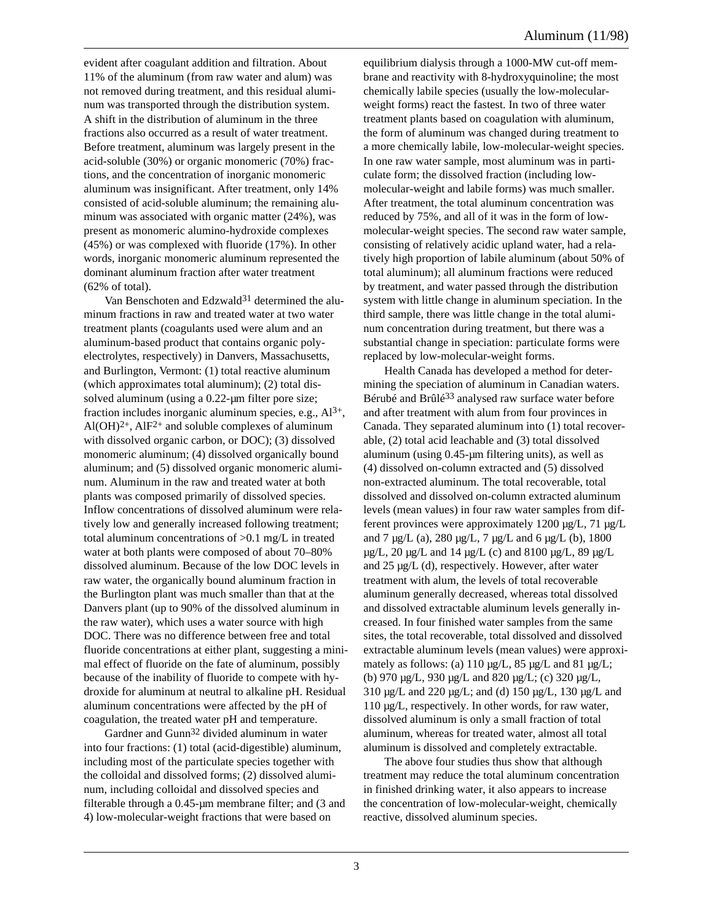evident after coagulant addition and filtration. About 11% of the aluminum (from raw water and alum) was not removed during treatment, and this residual aluminum was transported through the distribution system. A shift in the distribution of aluminum in the three fractions also occurred as a result of water treatment. Before treatment, aluminum was largely present in the acid-soluble (30%) or organic monomeric (70%) fractions, and the concentration of inorganic monomeric aluminum was insignificant. After treatment, only 14% consisted of acid-soluble aluminum; the remaining aluminum was associated with organic matter (24%), was present as monomeric alumino-hydroxide complexes (45%) or was complexed with fluoride (17%). In other words, inorganic monomeric aluminum represented the dominant aluminum fraction after water treatment (62% of total).

Van Benschoten and Edzwald<sup>31</sup> determined the aluminum fractions in raw and treated water at two water treatment plants (coagulants used were alum and an aluminum-based product that contains organic polyelectrolytes, respectively) in Danvers, Massachusetts, and Burlington, Vermont: (1) total reactive aluminum (which approximates total aluminum); (2) total dissolved aluminum (using a 0.22-um filter pore size; fraction includes inorganic aluminum species, e.g.,  $Al^{3+}$ , Al(OH) $^{2+}$ , AlF $^{2+}$  and soluble complexes of aluminum with dissolved organic carbon, or DOC); (3) dissolved monomeric aluminum; (4) dissolved organically bound aluminum; and (5) dissolved organic monomeric aluminum. Aluminum in the raw and treated water at both plants was composed primarily of dissolved species. Inflow concentrations of dissolved aluminum were relatively low and generally increased following treatment; total aluminum concentrations of >0.1 mg/L in treated water at both plants were composed of about 70–80% dissolved aluminum. Because of the low DOC levels in raw water, the organically bound aluminum fraction in the Burlington plant was much smaller than that at the Danvers plant (up to 90% of the dissolved aluminum in the raw water), which uses a water source with high DOC. There was no difference between free and total fluoride concentrations at either plant, suggesting a minimal effect of fluoride on the fate of aluminum, possibly because of the inability of fluoride to compete with hydroxide for aluminum at neutral to alkaline pH. Residual aluminum concentrations were affected by the pH of coagulation, the treated water pH and temperature.

Gardner and Gunn32 divided aluminum in water into four fractions: (1) total (acid-digestible) aluminum, including most of the particulate species together with the colloidal and dissolved forms; (2) dissolved aluminum, including colloidal and dissolved species and filterable through a 0.45-µm membrane filter; and (3 and 4) low-molecular-weight fractions that were based on

equilibrium dialysis through a 1000-MW cut-off membrane and reactivity with 8-hydroxyquinoline; the most chemically labile species (usually the low-molecularweight forms) react the fastest. In two of three water treatment plants based on coagulation with aluminum, the form of aluminum was changed during treatment to a more chemically labile, low-molecular-weight species. In one raw water sample, most aluminum was in particulate form; the dissolved fraction (including lowmolecular-weight and labile forms) was much smaller. After treatment, the total aluminum concentration was reduced by 75%, and all of it was in the form of lowmolecular-weight species. The second raw water sample, consisting of relatively acidic upland water, had a relatively high proportion of labile aluminum (about 50% of total aluminum); all aluminum fractions were reduced by treatment, and water passed through the distribution system with little change in aluminum speciation. In the third sample, there was little change in the total aluminum concentration during treatment, but there was a substantial change in speciation: particulate forms were replaced by low-molecular-weight forms.

Health Canada has developed a method for determining the speciation of aluminum in Canadian waters. Bérubé and Brûlé33 analysed raw surface water before and after treatment with alum from four provinces in Canada. They separated aluminum into (1) total recoverable, (2) total acid leachable and (3) total dissolved aluminum (using 0.45-µm filtering units), as well as (4) dissolved on-column extracted and (5) dissolved non-extracted aluminum. The total recoverable, total dissolved and dissolved on-column extracted aluminum levels (mean values) in four raw water samples from different provinces were approximately 1200 µg/L, 71 µg/L and 7  $\mu$ g/L (a), 280  $\mu$ g/L, 7  $\mu$ g/L and 6  $\mu$ g/L (b), 1800  $\mu$ g/L, 20  $\mu$ g/L and 14  $\mu$ g/L (c) and 8100  $\mu$ g/L, 89  $\mu$ g/L and 25 µg/L (d), respectively. However, after water treatment with alum, the levels of total recoverable aluminum generally decreased, whereas total dissolved and dissolved extractable aluminum levels generally increased. In four finished water samples from the same sites, the total recoverable, total dissolved and dissolved extractable aluminum levels (mean values) were approximately as follows: (a)  $110 \mu g/L$ ,  $85 \mu g/L$  and  $81 \mu g/L$ ; (b) 970 µg/L, 930 µg/L and 820 µg/L; (c) 320 µg/L, 310 µg/L and 220 µg/L; and (d) 150 µg/L, 130 µg/L and 110 µg/L, respectively. In other words, for raw water, dissolved aluminum is only a small fraction of total aluminum, whereas for treated water, almost all total aluminum is dissolved and completely extractable.

The above four studies thus show that although treatment may reduce the total aluminum concentration in finished drinking water, it also appears to increase the concentration of low-molecular-weight, chemically reactive, dissolved aluminum species.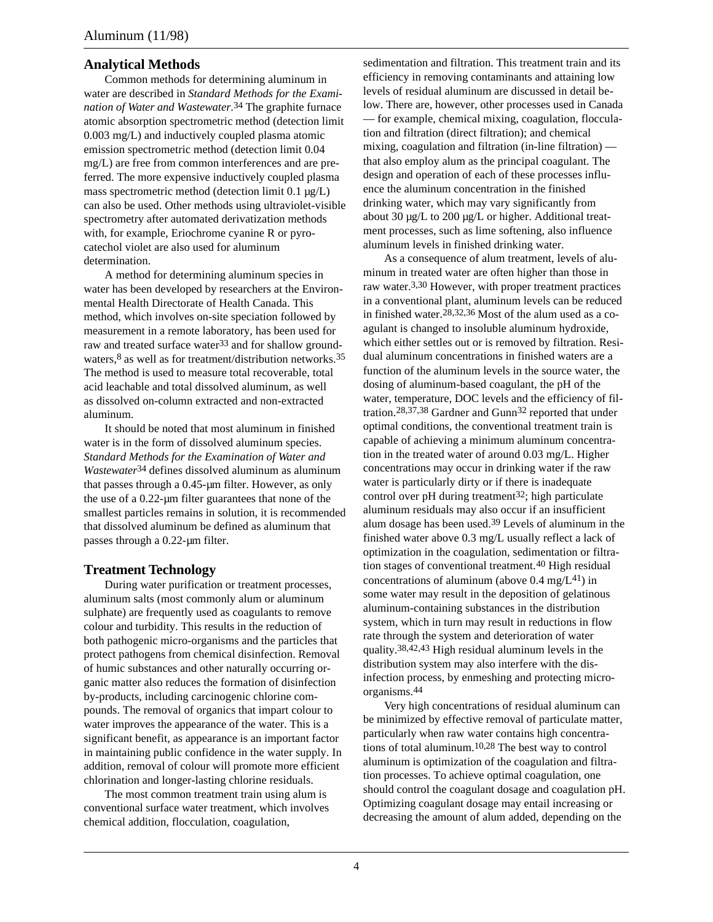# **Analytical Methods**

Common methods for determining aluminum in water are described in *Standard Methods for the Examination of Water and Wastewater*. 34 The graphite furnace atomic absorption spectrometric method (detection limit 0.003 mg/L) and inductively coupled plasma atomic emission spectrometric method (detection limit 0.04 mg/L) are free from common interferences and are preferred. The more expensive inductively coupled plasma mass spectrometric method (detection limit 0.1 µg/L) can also be used. Other methods using ultraviolet-visible spectrometry after automated derivatization methods with, for example, Eriochrome cyanine R or pyrocatechol violet are also used for aluminum determination.

A method for determining aluminum species in water has been developed by researchers at the Environmental Health Directorate of Health Canada. This method, which involves on-site speciation followed by measurement in a remote laboratory, has been used for raw and treated surface water<sup>33</sup> and for shallow groundwaters,<sup>8</sup> as well as for treatment/distribution networks.<sup>35</sup> The method is used to measure total recoverable, total acid leachable and total dissolved aluminum, as well as dissolved on-column extracted and non-extracted aluminum.

It should be noted that most aluminum in finished water is in the form of dissolved aluminum species. *Standard Methods for the Examination of Water and Wastewater*34 defines dissolved aluminum as aluminum that passes through a 0.45-um filter. However, as only the use of a 0.22-µm filter guarantees that none of the smallest particles remains in solution, it is recommended that dissolved aluminum be defined as aluminum that passes through a 0.22-µm filter.

# **Treatment Technology**

During water purification or treatment processes, aluminum salts (most commonly alum or aluminum sulphate) are frequently used as coagulants to remove colour and turbidity. This results in the reduction of both pathogenic micro-organisms and the particles that protect pathogens from chemical disinfection. Removal of humic substances and other naturally occurring organic matter also reduces the formation of disinfection by-products, including carcinogenic chlorine compounds. The removal of organics that impart colour to water improves the appearance of the water. This is a significant benefit, as appearance is an important factor in maintaining public confidence in the water supply. In addition, removal of colour will promote more efficient chlorination and longer-lasting chlorine residuals.

The most common treatment train using alum is conventional surface water treatment, which involves chemical addition, flocculation, coagulation,

sedimentation and filtration. This treatment train and its efficiency in removing contaminants and attaining low levels of residual aluminum are discussed in detail below. There are, however, other processes used in Canada — for example, chemical mixing, coagulation, flocculation and filtration (direct filtration); and chemical mixing, coagulation and filtration (in-line filtration) that also employ alum as the principal coagulant. The design and operation of each of these processes influence the aluminum concentration in the finished drinking water, which may vary significantly from about 30 µg/L to 200 µg/L or higher. Additional treatment processes, such as lime softening, also influence aluminum levels in finished drinking water.

As a consequence of alum treatment, levels of aluminum in treated water are often higher than those in raw water.3,30 However, with proper treatment practices in a conventional plant, aluminum levels can be reduced in finished water.28,32,36 Most of the alum used as a coagulant is changed to insoluble aluminum hydroxide, which either settles out or is removed by filtration. Residual aluminum concentrations in finished waters are a function of the aluminum levels in the source water, the dosing of aluminum-based coagulant, the pH of the water, temperature, DOC levels and the efficiency of filtration.28,37,38 Gardner and Gunn32 reported that under optimal conditions, the conventional treatment train is capable of achieving a minimum aluminum concentration in the treated water of around 0.03 mg/L. Higher concentrations may occur in drinking water if the raw water is particularly dirty or if there is inadequate control over pH during treatment<sup>32</sup>; high particulate aluminum residuals may also occur if an insufficient alum dosage has been used.39 Levels of aluminum in the finished water above 0.3 mg/L usually reflect a lack of optimization in the coagulation, sedimentation or filtration stages of conventional treatment.40 High residual concentrations of aluminum (above  $0.4 \text{ mg/L}^{41}$ ) in some water may result in the deposition of gelatinous aluminum-containing substances in the distribution system, which in turn may result in reductions in flow rate through the system and deterioration of water quality.38,42,43 High residual aluminum levels in the distribution system may also interfere with the disinfection process, by enmeshing and protecting microorganisms.44

Very high concentrations of residual aluminum can be minimized by effective removal of particulate matter, particularly when raw water contains high concentrations of total aluminum.10,28 The best way to control aluminum is optimization of the coagulation and filtration processes. To achieve optimal coagulation, one should control the coagulant dosage and coagulation pH. Optimizing coagulant dosage may entail increasing or decreasing the amount of alum added, depending on the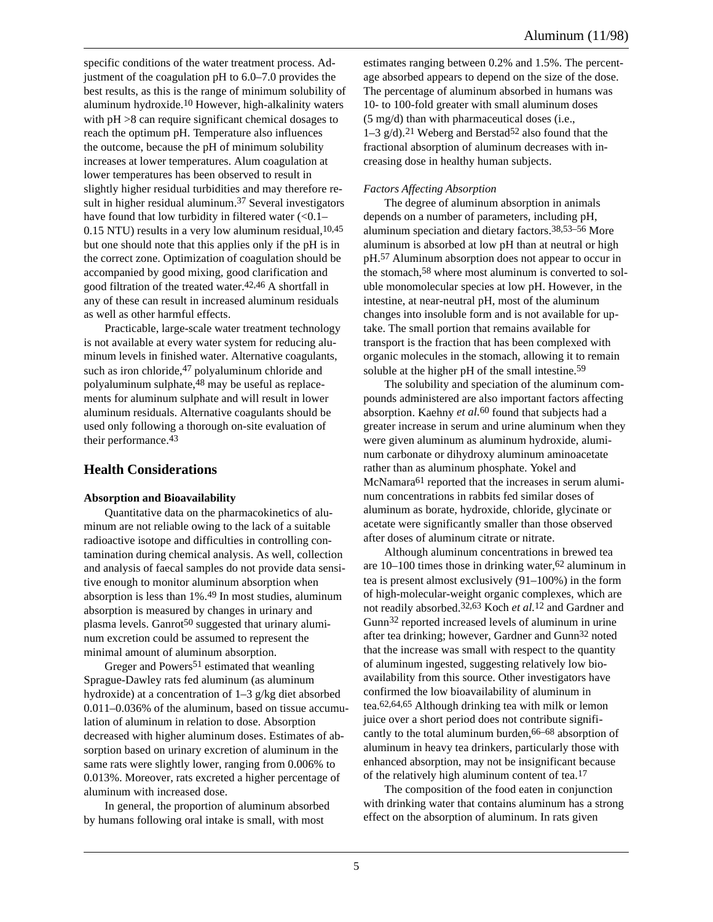Aluminum (11/98)

specific conditions of the water treatment process. Adjustment of the coagulation pH to 6.0–7.0 provides the best results, as this is the range of minimum solubility of aluminum hydroxide.10 However, high-alkalinity waters with pH  $>8$  can require significant chemical dosages to reach the optimum pH. Temperature also influences the outcome, because the pH of minimum solubility increases at lower temperatures. Alum coagulation at lower temperatures has been observed to result in slightly higher residual turbidities and may therefore result in higher residual aluminum.<sup>37</sup> Several investigators have found that low turbidity in filtered water  $(<0.1–$  $0.15$  NTU) results in a very low aluminum residual,  $10,45$ but one should note that this applies only if the pH is in the correct zone. Optimization of coagulation should be accompanied by good mixing, good clarification and good filtration of the treated water.42,46 A shortfall in any of these can result in increased aluminum residuals as well as other harmful effects.

Practicable, large-scale water treatment technology is not available at every water system for reducing aluminum levels in finished water. Alternative coagulants, such as iron chloride,<sup>47</sup> polyaluminum chloride and polyaluminum sulphate,48 may be useful as replacements for aluminum sulphate and will result in lower aluminum residuals. Alternative coagulants should be used only following a thorough on-site evaluation of their performance.43

# **Health Considerations**

#### **Absorption and Bioavailability**

Quantitative data on the pharmacokinetics of aluminum are not reliable owing to the lack of a suitable radioactive isotope and difficulties in controlling contamination during chemical analysis. As well, collection and analysis of faecal samples do not provide data sensitive enough to monitor aluminum absorption when absorption is less than 1%.49 In most studies, aluminum absorption is measured by changes in urinary and plasma levels. Ganrot<sup>50</sup> suggested that urinary aluminum excretion could be assumed to represent the minimal amount of aluminum absorption.

Greger and Powers<sup>51</sup> estimated that weanling Sprague-Dawley rats fed aluminum (as aluminum hydroxide) at a concentration of 1–3 g/kg diet absorbed 0.011–0.036% of the aluminum, based on tissue accumulation of aluminum in relation to dose. Absorption decreased with higher aluminum doses. Estimates of absorption based on urinary excretion of aluminum in the same rats were slightly lower, ranging from 0.006% to 0.013%. Moreover, rats excreted a higher percentage of aluminum with increased dose.

In general, the proportion of aluminum absorbed by humans following oral intake is small, with most

estimates ranging between 0.2% and 1.5%. The percentage absorbed appears to depend on the size of the dose. The percentage of aluminum absorbed in humans was 10- to 100-fold greater with small aluminum doses (5 mg/d) than with pharmaceutical doses (i.e.,  $1-3$  g/d).<sup>21</sup> Weberg and Berstad<sup>52</sup> also found that the fractional absorption of aluminum decreases with increasing dose in healthy human subjects.

#### *Factors Affecting Absorption*

The degree of aluminum absorption in animals depends on a number of parameters, including pH, aluminum speciation and dietary factors.38,53–56 More aluminum is absorbed at low pH than at neutral or high pH.57 Aluminum absorption does not appear to occur in the stomach,58 where most aluminum is converted to soluble monomolecular species at low pH. However, in the intestine, at near-neutral pH, most of the aluminum changes into insoluble form and is not available for uptake. The small portion that remains available for transport is the fraction that has been complexed with organic molecules in the stomach, allowing it to remain soluble at the higher pH of the small intestine.<sup>59</sup>

The solubility and speciation of the aluminum compounds administered are also important factors affecting absorption. Kaehny *et al.*60 found that subjects had a greater increase in serum and urine aluminum when they were given aluminum as aluminum hydroxide, aluminum carbonate or dihydroxy aluminum aminoacetate rather than as aluminum phosphate. Yokel and McNamara<sup>61</sup> reported that the increases in serum aluminum concentrations in rabbits fed similar doses of aluminum as borate, hydroxide, chloride, glycinate or acetate were significantly smaller than those observed after doses of aluminum citrate or nitrate.

Although aluminum concentrations in brewed tea are  $10-100$  times those in drinking water,  $62$  aluminum in tea is present almost exclusively (91–100%) in the form of high-molecular-weight organic complexes, which are not readily absorbed.32,63 Koch *et al.*12 and Gardner and Gunn32 reported increased levels of aluminum in urine after tea drinking; however, Gardner and Gunn32 noted that the increase was small with respect to the quantity of aluminum ingested, suggesting relatively low bioavailability from this source. Other investigators have confirmed the low bioavailability of aluminum in tea.62,64,65 Although drinking tea with milk or lemon juice over a short period does not contribute significantly to the total aluminum burden,66–68 absorption of aluminum in heavy tea drinkers, particularly those with enhanced absorption, may not be insignificant because of the relatively high aluminum content of tea.17

The composition of the food eaten in conjunction with drinking water that contains aluminum has a strong effect on the absorption of aluminum. In rats given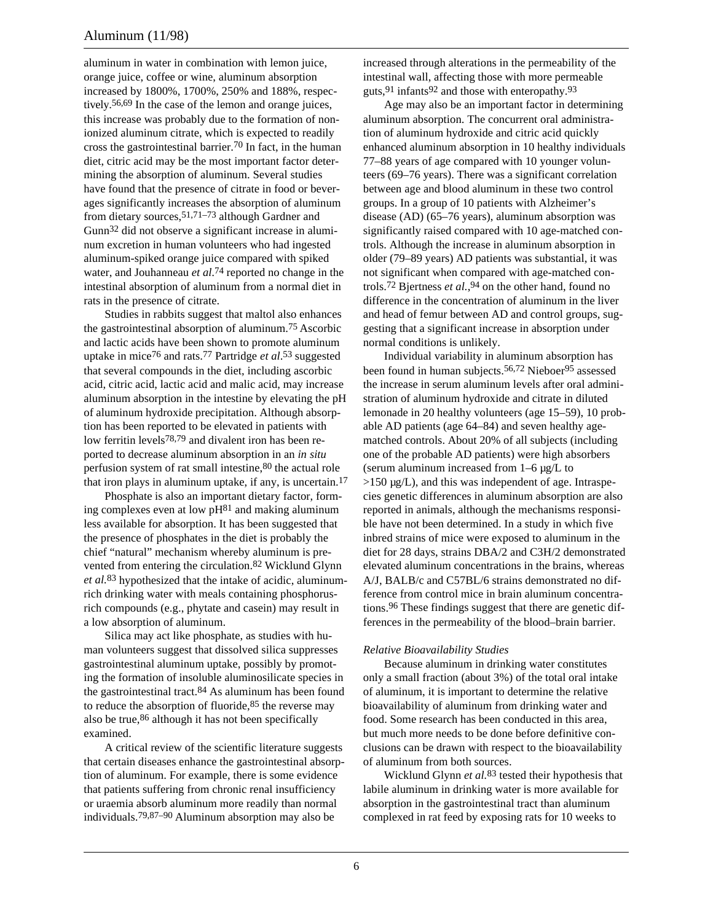aluminum in water in combination with lemon juice, orange juice, coffee or wine, aluminum absorption increased by 1800%, 1700%, 250% and 188%, respectively.56,69 In the case of the lemon and orange juices, this increase was probably due to the formation of nonionized aluminum citrate, which is expected to readily cross the gastrointestinal barrier.70 In fact, in the human diet, citric acid may be the most important factor determining the absorption of aluminum. Several studies have found that the presence of citrate in food or beverages significantly increases the absorption of aluminum from dietary sources,51,71–73 although Gardner and Gunn32 did not observe a significant increase in aluminum excretion in human volunteers who had ingested aluminum-spiked orange juice compared with spiked water, and Jouhanneau *et al.*74 reported no change in the intestinal absorption of aluminum from a normal diet in rats in the presence of citrate.

Studies in rabbits suggest that maltol also enhances the gastrointestinal absorption of aluminum.75 Ascorbic and lactic acids have been shown to promote aluminum uptake in mice76 and rats.77 Partridge *et al*. 53 suggested that several compounds in the diet, including ascorbic acid, citric acid, lactic acid and malic acid, may increase aluminum absorption in the intestine by elevating the pH of aluminum hydroxide precipitation. Although absorption has been reported to be elevated in patients with low ferritin levels78,79 and divalent iron has been reported to decrease aluminum absorption in an *in situ* perfusion system of rat small intestine,80 the actual role that iron plays in aluminum uptake, if any, is uncertain.17

Phosphate is also an important dietary factor, forming complexes even at low  $pH<sup>81</sup>$  and making aluminum less available for absorption. It has been suggested that the presence of phosphates in the diet is probably the chief "natural" mechanism whereby aluminum is prevented from entering the circulation.82 Wicklund Glynn *et al.*83 hypothesized that the intake of acidic, aluminumrich drinking water with meals containing phosphorusrich compounds (e.g., phytate and casein) may result in a low absorption of aluminum.

Silica may act like phosphate, as studies with human volunteers suggest that dissolved silica suppresses gastrointestinal aluminum uptake, possibly by promoting the formation of insoluble aluminosilicate species in the gastrointestinal tract.84 As aluminum has been found to reduce the absorption of fluoride,<sup>85</sup> the reverse may also be true,86 although it has not been specifically examined.

A critical review of the scientific literature suggests that certain diseases enhance the gastrointestinal absorption of aluminum. For example, there is some evidence that patients suffering from chronic renal insufficiency or uraemia absorb aluminum more readily than normal individuals.79,87–90 Aluminum absorption may also be

increased through alterations in the permeability of the intestinal wall, affecting those with more permeable guts,91 infants92 and those with enteropathy.93

Age may also be an important factor in determining aluminum absorption. The concurrent oral administration of aluminum hydroxide and citric acid quickly enhanced aluminum absorption in 10 healthy individuals 77–88 years of age compared with 10 younger volunteers (69–76 years). There was a significant correlation between age and blood aluminum in these two control groups. In a group of 10 patients with Alzheimer's disease (AD) (65–76 years), aluminum absorption was significantly raised compared with 10 age-matched controls. Although the increase in aluminum absorption in older (79–89 years) AD patients was substantial, it was not significant when compared with age-matched controls.72 Bjertness *et al.*, 94 on the other hand, found no difference in the concentration of aluminum in the liver and head of femur between AD and control groups, suggesting that a significant increase in absorption under normal conditions is unlikely.

Individual variability in aluminum absorption has been found in human subjects.<sup>56,72</sup> Nieboer<sup>95</sup> assessed the increase in serum aluminum levels after oral administration of aluminum hydroxide and citrate in diluted lemonade in 20 healthy volunteers (age 15–59), 10 probable AD patients (age 64–84) and seven healthy agematched controls. About 20% of all subjects (including one of the probable AD patients) were high absorbers (serum aluminum increased from 1–6 µg/L to  $>150 \mu$ g/L), and this was independent of age. Intraspecies genetic differences in aluminum absorption are also reported in animals, although the mechanisms responsible have not been determined. In a study in which five inbred strains of mice were exposed to aluminum in the diet for 28 days, strains DBA/2 and C3H/2 demonstrated elevated aluminum concentrations in the brains, whereas A/J, BALB/c and C57BL/6 strains demonstrated no difference from control mice in brain aluminum concentrations.96 These findings suggest that there are genetic differences in the permeability of the blood–brain barrier.

#### *Relative Bioavailability Studies*

Because aluminum in drinking water constitutes only a small fraction (about 3%) of the total oral intake of aluminum, it is important to determine the relative bioavailability of aluminum from drinking water and food. Some research has been conducted in this area, but much more needs to be done before definitive conclusions can be drawn with respect to the bioavailability of aluminum from both sources.

Wicklund Glynn *et al.*83 tested their hypothesis that labile aluminum in drinking water is more available for absorption in the gastrointestinal tract than aluminum complexed in rat feed by exposing rats for 10 weeks to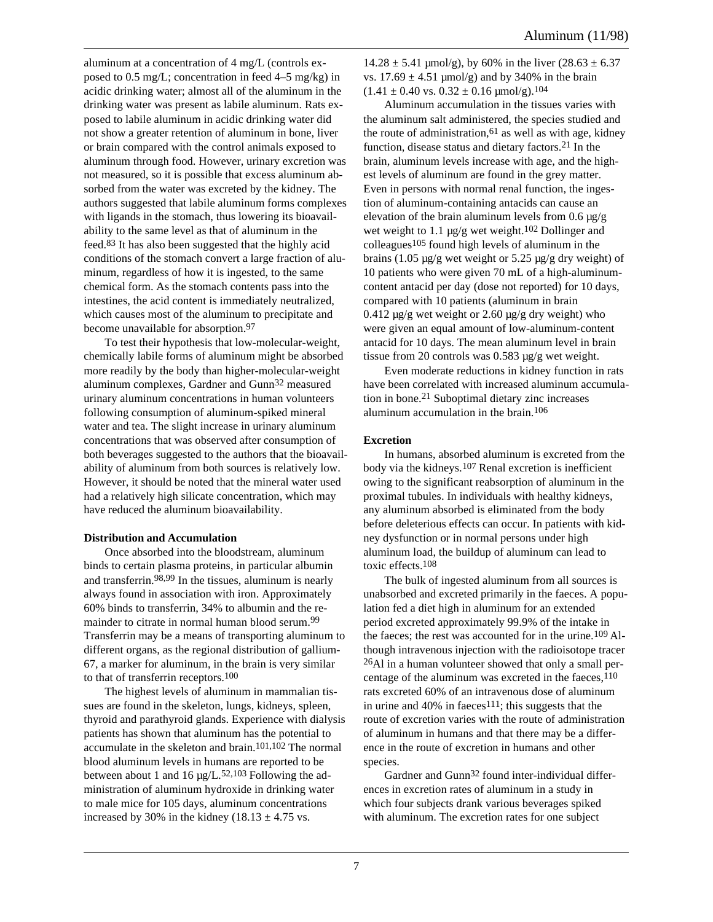aluminum at a concentration of 4 mg/L (controls exposed to 0.5 mg/L; concentration in feed 4–5 mg/kg) in acidic drinking water; almost all of the aluminum in the drinking water was present as labile aluminum. Rats exposed to labile aluminum in acidic drinking water did not show a greater retention of aluminum in bone, liver or brain compared with the control animals exposed to aluminum through food. However, urinary excretion was not measured, so it is possible that excess aluminum absorbed from the water was excreted by the kidney. The authors suggested that labile aluminum forms complexes with ligands in the stomach, thus lowering its bioavailability to the same level as that of aluminum in the feed.83 It has also been suggested that the highly acid conditions of the stomach convert a large fraction of aluminum, regardless of how it is ingested, to the same chemical form. As the stomach contents pass into the intestines, the acid content is immediately neutralized, which causes most of the aluminum to precipitate and become unavailable for absorption.97

To test their hypothesis that low-molecular-weight, chemically labile forms of aluminum might be absorbed more readily by the body than higher-molecular-weight aluminum complexes, Gardner and Gunn32 measured urinary aluminum concentrations in human volunteers following consumption of aluminum-spiked mineral water and tea. The slight increase in urinary aluminum concentrations that was observed after consumption of both beverages suggested to the authors that the bioavailability of aluminum from both sources is relatively low. However, it should be noted that the mineral water used had a relatively high silicate concentration, which may have reduced the aluminum bioavailability.

#### **Distribution and Accumulation**

Once absorbed into the bloodstream, aluminum binds to certain plasma proteins, in particular albumin and transferrin.98,99 In the tissues, aluminum is nearly always found in association with iron. Approximately 60% binds to transferrin, 34% to albumin and the remainder to citrate in normal human blood serum.99 Transferrin may be a means of transporting aluminum to different organs, as the regional distribution of gallium-67, a marker for aluminum, in the brain is very similar to that of transferrin receptors.100

The highest levels of aluminum in mammalian tissues are found in the skeleton, lungs, kidneys, spleen, thyroid and parathyroid glands. Experience with dialysis patients has shown that aluminum has the potential to accumulate in the skeleton and brain.101,102 The normal blood aluminum levels in humans are reported to be between about 1 and 16  $\mu$ g/L.<sup>52,103</sup> Following the administration of aluminum hydroxide in drinking water to male mice for 105 days, aluminum concentrations increased by 30% in the kidney  $(18.13 \pm 4.75 \text{ vs.})$ 

 $14.28 \pm 5.41$  µmol/g), by 60% in the liver (28.63  $\pm$  6.37 vs.  $17.69 \pm 4.51 \text{ \mu}$  mol/g) and by 340% in the brain  $(1.41 \pm 0.40 \text{ vs. } 0.32 \pm 0.16 \text{ \mu} \text{mol/g}).^{104}$ 

Aluminum accumulation in the tissues varies with the aluminum salt administered, the species studied and the route of administration,  $61$  as well as with age, kidney function, disease status and dietary factors.21 In the brain, aluminum levels increase with age, and the highest levels of aluminum are found in the grey matter. Even in persons with normal renal function, the ingestion of aluminum-containing antacids can cause an elevation of the brain aluminum levels from  $0.6 \mu g/g$ wet weight to 1.1  $\mu$ g/g wet weight.<sup>102</sup> Dollinger and colleagues<sup>105</sup> found high levels of aluminum in the brains (1.05  $\mu$ g/g wet weight or 5.25  $\mu$ g/g dry weight) of 10 patients who were given 70 mL of a high-aluminumcontent antacid per day (dose not reported) for 10 days, compared with 10 patients (aluminum in brain  $0.412 \mu$ g/g wet weight or 2.60  $\mu$ g/g dry weight) who were given an equal amount of low-aluminum-content antacid for 10 days. The mean aluminum level in brain tissue from 20 controls was 0.583 µg/g wet weight.

Even moderate reductions in kidney function in rats have been correlated with increased aluminum accumulation in bone.21 Suboptimal dietary zinc increases aluminum accumulation in the brain.106

#### **Excretion**

In humans, absorbed aluminum is excreted from the body via the kidneys.107 Renal excretion is inefficient owing to the significant reabsorption of aluminum in the proximal tubules. In individuals with healthy kidneys, any aluminum absorbed is eliminated from the body before deleterious effects can occur. In patients with kidney dysfunction or in normal persons under high aluminum load, the buildup of aluminum can lead to toxic effects.108

The bulk of ingested aluminum from all sources is unabsorbed and excreted primarily in the faeces. A population fed a diet high in aluminum for an extended period excreted approximately 99.9% of the intake in the faeces; the rest was accounted for in the urine.109 Although intravenous injection with the radioisotope tracer 26Al in a human volunteer showed that only a small percentage of the aluminum was excreted in the faeces,  $110$ rats excreted 60% of an intravenous dose of aluminum in urine and  $40\%$  in faeces<sup>111</sup>; this suggests that the route of excretion varies with the route of administration of aluminum in humans and that there may be a difference in the route of excretion in humans and other species.

Gardner and Gunn32 found inter-individual differences in excretion rates of aluminum in a study in which four subjects drank various beverages spiked with aluminum. The excretion rates for one subject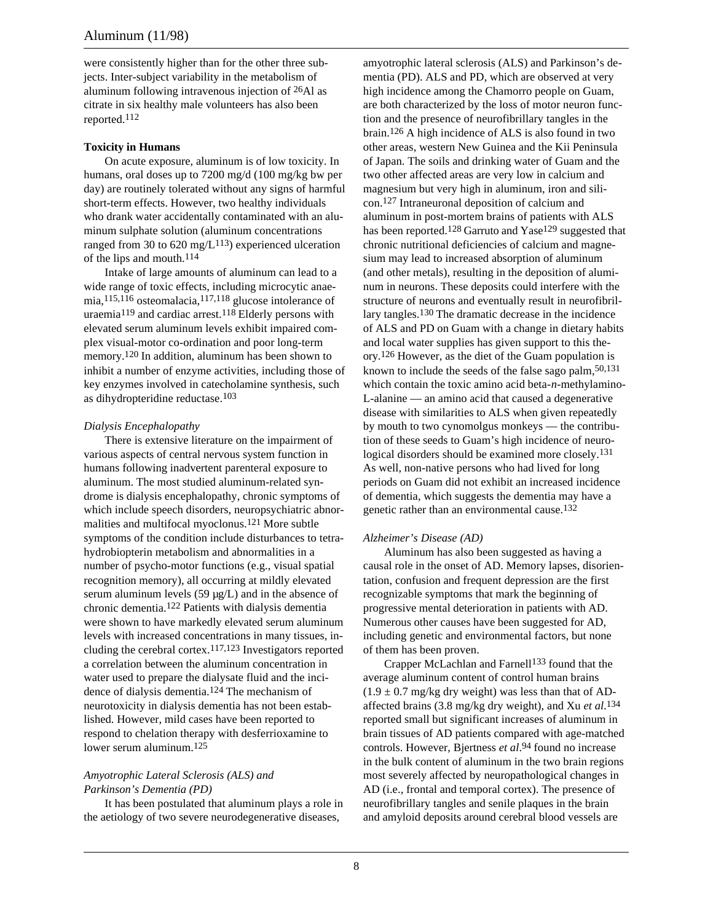were consistently higher than for the other three subjects. Inter-subject variability in the metabolism of aluminum following intravenous injection of 26Al as citrate in six healthy male volunteers has also been reported.112

#### **Toxicity in Humans**

On acute exposure, aluminum is of low toxicity. In humans, oral doses up to 7200 mg/d (100 mg/kg bw per day) are routinely tolerated without any signs of harmful short-term effects. However, two healthy individuals who drank water accidentally contaminated with an aluminum sulphate solution (aluminum concentrations ranged from 30 to 620 mg/ $L^{113}$ ) experienced ulceration of the lips and mouth.114

Intake of large amounts of aluminum can lead to a wide range of toxic effects, including microcytic anaemia,115,116 osteomalacia,117,118 glucose intolerance of uraemia119 and cardiac arrest.118 Elderly persons with elevated serum aluminum levels exhibit impaired complex visual-motor co-ordination and poor long-term memory.120 In addition, aluminum has been shown to inhibit a number of enzyme activities, including those of key enzymes involved in catecholamine synthesis, such as dihydropteridine reductase.103

#### *Dialysis Encephalopathy*

There is extensive literature on the impairment of various aspects of central nervous system function in humans following inadvertent parenteral exposure to aluminum. The most studied aluminum-related syndrome is dialysis encephalopathy, chronic symptoms of which include speech disorders, neuropsychiatric abnormalities and multifocal myoclonus.121 More subtle symptoms of the condition include disturbances to tetrahydrobiopterin metabolism and abnormalities in a number of psycho-motor functions (e.g., visual spatial recognition memory), all occurring at mildly elevated serum aluminum levels  $(59 \mu g/L)$  and in the absence of chronic dementia.122 Patients with dialysis dementia were shown to have markedly elevated serum aluminum levels with increased concentrations in many tissues, including the cerebral cortex.117,123 Investigators reported a correlation between the aluminum concentration in water used to prepare the dialysate fluid and the incidence of dialysis dementia.124 The mechanism of neurotoxicity in dialysis dementia has not been established. However, mild cases have been reported to respond to chelation therapy with desferrioxamine to lower serum aluminum.125

#### *Amyotrophic Lateral Sclerosis (ALS) and Parkinson's Dementia (PD)*

It has been postulated that aluminum plays a role in the aetiology of two severe neurodegenerative diseases,

amyotrophic lateral sclerosis (ALS) and Parkinson's dementia (PD). ALS and PD, which are observed at very high incidence among the Chamorro people on Guam, are both characterized by the loss of motor neuron function and the presence of neurofibrillary tangles in the brain.126 A high incidence of ALS is also found in two other areas, western New Guinea and the Kii Peninsula of Japan. The soils and drinking water of Guam and the two other affected areas are very low in calcium and magnesium but very high in aluminum, iron and silicon.127 Intraneuronal deposition of calcium and aluminum in post-mortem brains of patients with ALS has been reported.<sup>128</sup> Garruto and Yase<sup>129</sup> suggested that chronic nutritional deficiencies of calcium and magnesium may lead to increased absorption of aluminum (and other metals), resulting in the deposition of aluminum in neurons. These deposits could interfere with the structure of neurons and eventually result in neurofibrillary tangles.130 The dramatic decrease in the incidence of ALS and PD on Guam with a change in dietary habits and local water supplies has given support to this theory.126 However, as the diet of the Guam population is known to include the seeds of the false sago palm, $50,131$ which contain the toxic amino acid beta-*n*-methylamino-L-alanine — an amino acid that caused a degenerative disease with similarities to ALS when given repeatedly by mouth to two cynomolgus monkeys — the contribution of these seeds to Guam's high incidence of neurological disorders should be examined more closely.<sup>131</sup> As well, non-native persons who had lived for long periods on Guam did not exhibit an increased incidence of dementia, which suggests the dementia may have a genetic rather than an environmental cause.132

#### *Alzheimer's Disease (AD)*

Aluminum has also been suggested as having a causal role in the onset of AD. Memory lapses, disorientation, confusion and frequent depression are the first recognizable symptoms that mark the beginning of progressive mental deterioration in patients with AD. Numerous other causes have been suggested for AD, including genetic and environmental factors, but none of them has been proven.

Crapper McLachlan and Farnell<sup>133</sup> found that the average aluminum content of control human brains  $(1.9 \pm 0.7 \text{ mg/kg} \text{ dry weight})$  was less than that of ADaffected brains (3.8 mg/kg dry weight), and Xu *et al.*134 reported small but significant increases of aluminum in brain tissues of AD patients compared with age-matched controls. However, Bjertness *et al*. 94 found no increase in the bulk content of aluminum in the two brain regions most severely affected by neuropathological changes in AD (i.e., frontal and temporal cortex). The presence of neurofibrillary tangles and senile plaques in the brain and amyloid deposits around cerebral blood vessels are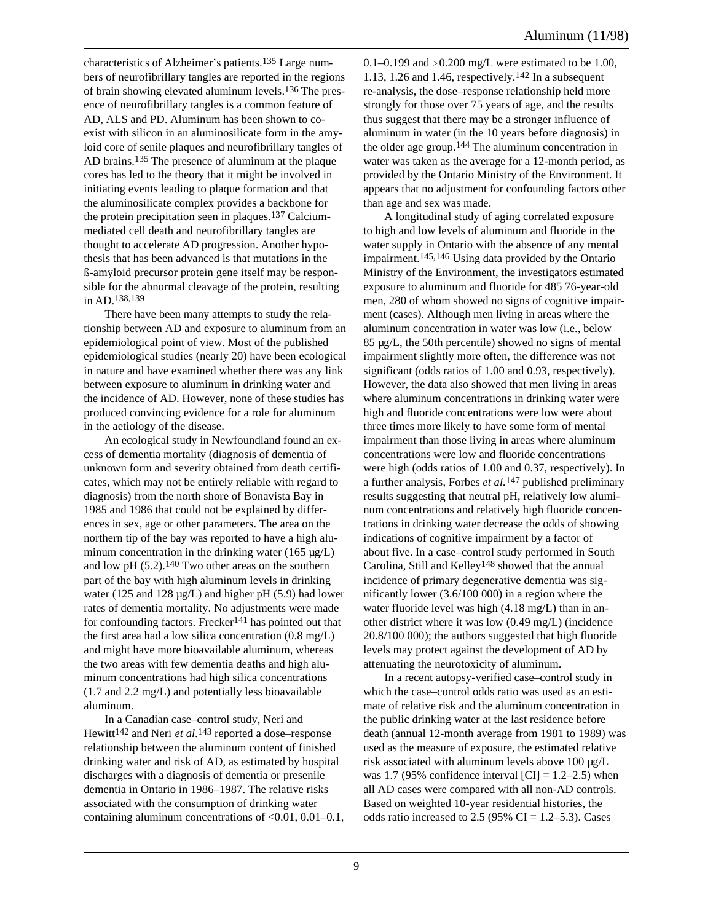characteristics of Alzheimer's patients.135 Large numbers of neurofibrillary tangles are reported in the regions of brain showing elevated aluminum levels.136 The presence of neurofibrillary tangles is a common feature of AD, ALS and PD. Aluminum has been shown to coexist with silicon in an aluminosilicate form in the amyloid core of senile plaques and neurofibrillary tangles of AD brains.135 The presence of aluminum at the plaque cores has led to the theory that it might be involved in initiating events leading to plaque formation and that the aluminosilicate complex provides a backbone for the protein precipitation seen in plaques.137 Calciummediated cell death and neurofibrillary tangles are thought to accelerate AD progression. Another hypothesis that has been advanced is that mutations in the ß-amyloid precursor protein gene itself may be responsible for the abnormal cleavage of the protein, resulting in AD.138,139

There have been many attempts to study the relationship between AD and exposure to aluminum from an epidemiological point of view. Most of the published epidemiological studies (nearly 20) have been ecological in nature and have examined whether there was any link between exposure to aluminum in drinking water and the incidence of AD. However, none of these studies has produced convincing evidence for a role for aluminum in the aetiology of the disease.

An ecological study in Newfoundland found an excess of dementia mortality (diagnosis of dementia of unknown form and severity obtained from death certificates, which may not be entirely reliable with regard to diagnosis) from the north shore of Bonavista Bay in 1985 and 1986 that could not be explained by differences in sex, age or other parameters. The area on the northern tip of the bay was reported to have a high aluminum concentration in the drinking water  $(165 \mu g/L)$ and low pH  $(5.2)$ .<sup>140</sup> Two other areas on the southern part of the bay with high aluminum levels in drinking water (125 and 128 µg/L) and higher pH (5.9) had lower rates of dementia mortality. No adjustments were made for confounding factors. Frecker<sup>141</sup> has pointed out that the first area had a low silica concentration (0.8 mg/L) and might have more bioavailable aluminum, whereas the two areas with few dementia deaths and high aluminum concentrations had high silica concentrations (1.7 and 2.2 mg/L) and potentially less bioavailable aluminum.

In a Canadian case–control study, Neri and Hewitt142 and Neri *et al.*143 reported a dose–response relationship between the aluminum content of finished drinking water and risk of AD, as estimated by hospital discharges with a diagnosis of dementia or presenile dementia in Ontario in 1986–1987. The relative risks associated with the consumption of drinking water containing aluminum concentrations of <0.01, 0.01–0.1, 0.1–0.199 and  $\geq$  0.200 mg/L were estimated to be 1.00, 1.13, 1.26 and 1.46, respectively.<sup>142</sup> In a subsequent re-analysis, the dose–response relationship held more strongly for those over 75 years of age, and the results thus suggest that there may be a stronger influence of aluminum in water (in the 10 years before diagnosis) in the older age group.144 The aluminum concentration in water was taken as the average for a 12-month period, as provided by the Ontario Ministry of the Environment. It appears that no adjustment for confounding factors other than age and sex was made.

A longitudinal study of aging correlated exposure to high and low levels of aluminum and fluoride in the water supply in Ontario with the absence of any mental impairment.145,146 Using data provided by the Ontario Ministry of the Environment, the investigators estimated exposure to aluminum and fluoride for 485 76-year-old men, 280 of whom showed no signs of cognitive impairment (cases). Although men living in areas where the aluminum concentration in water was low (i.e., below 85 µg/L, the 50th percentile) showed no signs of mental impairment slightly more often, the difference was not significant (odds ratios of 1.00 and 0.93, respectively). However, the data also showed that men living in areas where aluminum concentrations in drinking water were high and fluoride concentrations were low were about three times more likely to have some form of mental impairment than those living in areas where aluminum concentrations were low and fluoride concentrations were high (odds ratios of 1.00 and 0.37, respectively). In a further analysis, Forbes *et al.*147 published preliminary results suggesting that neutral pH, relatively low aluminum concentrations and relatively high fluoride concentrations in drinking water decrease the odds of showing indications of cognitive impairment by a factor of about five. In a case–control study performed in South Carolina, Still and Kelley148 showed that the annual incidence of primary degenerative dementia was significantly lower (3.6/100 000) in a region where the water fluoride level was high (4.18 mg/L) than in another district where it was low (0.49 mg/L) (incidence 20.8/100 000); the authors suggested that high fluoride levels may protect against the development of AD by attenuating the neurotoxicity of aluminum.

In a recent autopsy-verified case–control study in which the case–control odds ratio was used as an estimate of relative risk and the aluminum concentration in the public drinking water at the last residence before death (annual 12-month average from 1981 to 1989) was used as the measure of exposure, the estimated relative risk associated with aluminum levels above 100 µg/L was 1.7 (95% confidence interval  $\text{[CI]} = 1.2{\text -}2.5$ ) when all AD cases were compared with all non-AD controls. Based on weighted 10-year residential histories, the odds ratio increased to  $2.5$  (95% CI = 1.2–5.3). Cases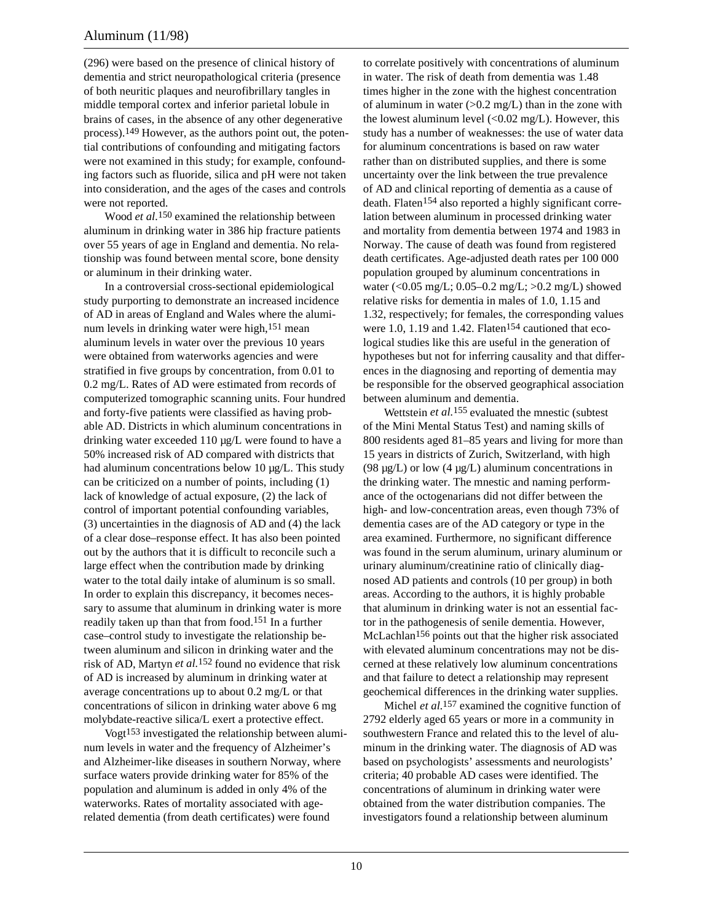(296) were based on the presence of clinical history of dementia and strict neuropathological criteria (presence of both neuritic plaques and neurofibrillary tangles in middle temporal cortex and inferior parietal lobule in brains of cases, in the absence of any other degenerative process).149 However, as the authors point out, the potential contributions of confounding and mitigating factors were not examined in this study; for example, confounding factors such as fluoride, silica and pH were not taken into consideration, and the ages of the cases and controls were not reported.

Wood *et al.*150 examined the relationship between aluminum in drinking water in 386 hip fracture patients over 55 years of age in England and dementia. No relationship was found between mental score, bone density or aluminum in their drinking water.

In a controversial cross-sectional epidemiological study purporting to demonstrate an increased incidence of AD in areas of England and Wales where the aluminum levels in drinking water were high,151 mean aluminum levels in water over the previous 10 years were obtained from waterworks agencies and were stratified in five groups by concentration, from 0.01 to 0.2 mg/L. Rates of AD were estimated from records of computerized tomographic scanning units. Four hundred and forty-five patients were classified as having probable AD. Districts in which aluminum concentrations in drinking water exceeded 110 µg/L were found to have a 50% increased risk of AD compared with districts that had aluminum concentrations below 10 µg/L. This study can be criticized on a number of points, including (1) lack of knowledge of actual exposure, (2) the lack of control of important potential confounding variables, (3) uncertainties in the diagnosis of AD and (4) the lack of a clear dose–response effect. It has also been pointed out by the authors that it is difficult to reconcile such a large effect when the contribution made by drinking water to the total daily intake of aluminum is so small. In order to explain this discrepancy, it becomes necessary to assume that aluminum in drinking water is more readily taken up than that from food.151 In a further case–control study to investigate the relationship between aluminum and silicon in drinking water and the risk of AD, Martyn *et al.*152 found no evidence that risk of AD is increased by aluminum in drinking water at average concentrations up to about 0.2 mg/L or that concentrations of silicon in drinking water above 6 mg molybdate-reactive silica/L exert a protective effect.

Vogt153 investigated the relationship between aluminum levels in water and the frequency of Alzheimer's and Alzheimer-like diseases in southern Norway, where surface waters provide drinking water for 85% of the population and aluminum is added in only 4% of the waterworks. Rates of mortality associated with agerelated dementia (from death certificates) were found

to correlate positively with concentrations of aluminum in water. The risk of death from dementia was 1.48 times higher in the zone with the highest concentration of aluminum in water  $(>0.2 \text{ mg/L})$  than in the zone with the lowest aluminum level  $\langle 0.02 \text{ mg/L} \rangle$ . However, this study has a number of weaknesses: the use of water data for aluminum concentrations is based on raw water rather than on distributed supplies, and there is some uncertainty over the link between the true prevalence of AD and clinical reporting of dementia as a cause of death. Flaten<sup>154</sup> also reported a highly significant correlation between aluminum in processed drinking water and mortality from dementia between 1974 and 1983 in Norway. The cause of death was found from registered death certificates. Age-adjusted death rates per 100 000 population grouped by aluminum concentrations in water (< $0.05 \text{ mg/L}$ ; 0.05–0.2 mg/L; >0.2 mg/L) showed relative risks for dementia in males of 1.0, 1.15 and 1.32, respectively; for females, the corresponding values were  $1.0$ ,  $1.19$  and  $1.42$ . Flaten<sup>154</sup> cautioned that ecological studies like this are useful in the generation of hypotheses but not for inferring causality and that differences in the diagnosing and reporting of dementia may be responsible for the observed geographical association between aluminum and dementia.

Wettstein *et al.*155 evaluated the mnestic (subtest of the Mini Mental Status Test) and naming skills of 800 residents aged 81–85 years and living for more than 15 years in districts of Zurich, Switzerland, with high (98  $\mu$ g/L) or low (4  $\mu$ g/L) aluminum concentrations in the drinking water. The mnestic and naming performance of the octogenarians did not differ between the high- and low-concentration areas, even though 73% of dementia cases are of the AD category or type in the area examined. Furthermore, no significant difference was found in the serum aluminum, urinary aluminum or urinary aluminum/creatinine ratio of clinically diagnosed AD patients and controls (10 per group) in both areas. According to the authors, it is highly probable that aluminum in drinking water is not an essential factor in the pathogenesis of senile dementia. However, McLachlan<sup>156</sup> points out that the higher risk associated with elevated aluminum concentrations may not be discerned at these relatively low aluminum concentrations and that failure to detect a relationship may represent geochemical differences in the drinking water supplies.

Michel *et al.*157 examined the cognitive function of 2792 elderly aged 65 years or more in a community in southwestern France and related this to the level of aluminum in the drinking water. The diagnosis of AD was based on psychologists' assessments and neurologists' criteria; 40 probable AD cases were identified. The concentrations of aluminum in drinking water were obtained from the water distribution companies. The investigators found a relationship between aluminum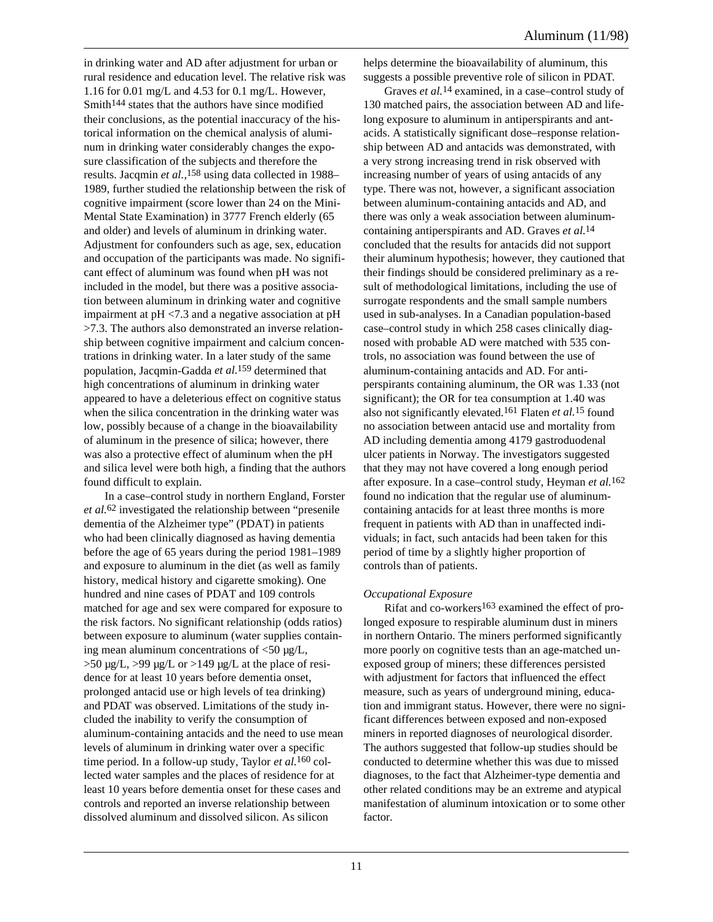in drinking water and AD after adjustment for urban or rural residence and education level. The relative risk was 1.16 for 0.01 mg/L and 4.53 for 0.1 mg/L. However, Smith144 states that the authors have since modified their conclusions, as the potential inaccuracy of the historical information on the chemical analysis of aluminum in drinking water considerably changes the exposure classification of the subjects and therefore the results. Jacqmin *et al.*, 158 using data collected in 1988– 1989, further studied the relationship between the risk of cognitive impairment (score lower than 24 on the Mini-Mental State Examination) in 3777 French elderly (65 and older) and levels of aluminum in drinking water. Adjustment for confounders such as age, sex, education and occupation of the participants was made. No significant effect of aluminum was found when pH was not included in the model, but there was a positive association between aluminum in drinking water and cognitive impairment at pH <7.3 and a negative association at pH >7.3. The authors also demonstrated an inverse relationship between cognitive impairment and calcium concentrations in drinking water. In a later study of the same population, Jacqmin-Gadda *et al.*159 determined that high concentrations of aluminum in drinking water appeared to have a deleterious effect on cognitive status when the silica concentration in the drinking water was low, possibly because of a change in the bioavailability of aluminum in the presence of silica; however, there was also a protective effect of aluminum when the pH and silica level were both high, a finding that the authors found difficult to explain.

In a case–control study in northern England, Forster *et al.*62 investigated the relationship between "presenile dementia of the Alzheimer type" (PDAT) in patients who had been clinically diagnosed as having dementia before the age of 65 years during the period 1981–1989 and exposure to aluminum in the diet (as well as family history, medical history and cigarette smoking). One hundred and nine cases of PDAT and 109 controls matched for age and sex were compared for exposure to the risk factors. No significant relationship (odds ratios) between exposure to aluminum (water supplies containing mean aluminum concentrations of  $\langle 50 \text{ µg/L}$ ,  $>50$  ug/L,  $>99$  ug/L or  $>149$  ug/L at the place of residence for at least 10 years before dementia onset, prolonged antacid use or high levels of tea drinking) and PDAT was observed. Limitations of the study included the inability to verify the consumption of aluminum-containing antacids and the need to use mean levels of aluminum in drinking water over a specific time period. In a follow-up study, Taylor *et al.*160 collected water samples and the places of residence for at least 10 years before dementia onset for these cases and controls and reported an inverse relationship between dissolved aluminum and dissolved silicon. As silicon

helps determine the bioavailability of aluminum, this suggests a possible preventive role of silicon in PDAT.

Graves *et al.*14 examined, in a case–control study of 130 matched pairs, the association between AD and lifelong exposure to aluminum in antiperspirants and antacids. A statistically significant dose–response relationship between AD and antacids was demonstrated, with a very strong increasing trend in risk observed with increasing number of years of using antacids of any type. There was not, however, a significant association between aluminum-containing antacids and AD, and there was only a weak association between aluminumcontaining antiperspirants and AD. Graves *et al.*14 concluded that the results for antacids did not support their aluminum hypothesis; however, they cautioned that their findings should be considered preliminary as a result of methodological limitations, including the use of surrogate respondents and the small sample numbers used in sub-analyses. In a Canadian population-based case–control study in which 258 cases clinically diagnosed with probable AD were matched with 535 controls, no association was found between the use of aluminum-containing antacids and AD. For antiperspirants containing aluminum, the OR was 1.33 (not significant); the OR for tea consumption at 1.40 was also not significantly elevated.161 Flaten *et al.*15 found no association between antacid use and mortality from AD including dementia among 4179 gastroduodenal ulcer patients in Norway. The investigators suggested that they may not have covered a long enough period after exposure. In a case–control study, Heyman *et al.*162 found no indication that the regular use of aluminumcontaining antacids for at least three months is more frequent in patients with AD than in unaffected individuals; in fact, such antacids had been taken for this period of time by a slightly higher proportion of controls than of patients.

#### *Occupational Exposure*

Rifat and co-workers163 examined the effect of prolonged exposure to respirable aluminum dust in miners in northern Ontario. The miners performed significantly more poorly on cognitive tests than an age-matched unexposed group of miners; these differences persisted with adjustment for factors that influenced the effect measure, such as years of underground mining, education and immigrant status. However, there were no significant differences between exposed and non-exposed miners in reported diagnoses of neurological disorder. The authors suggested that follow-up studies should be conducted to determine whether this was due to missed diagnoses, to the fact that Alzheimer-type dementia and other related conditions may be an extreme and atypical manifestation of aluminum intoxication or to some other factor.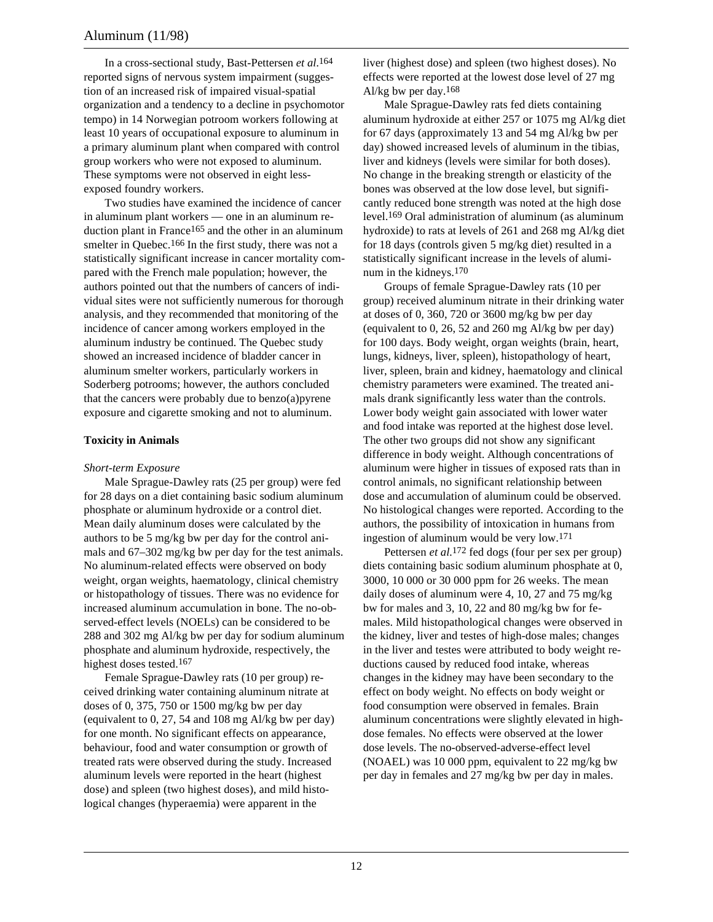In a cross-sectional study, Bast-Pettersen *et al.*164 reported signs of nervous system impairment (suggestion of an increased risk of impaired visual-spatial organization and a tendency to a decline in psychomotor tempo) in 14 Norwegian potroom workers following at least 10 years of occupational exposure to aluminum in a primary aluminum plant when compared with control group workers who were not exposed to aluminum. These symptoms were not observed in eight lessexposed foundry workers.

Two studies have examined the incidence of cancer in aluminum plant workers — one in an aluminum reduction plant in France165 and the other in an aluminum smelter in Quebec.<sup>166</sup> In the first study, there was not a statistically significant increase in cancer mortality compared with the French male population; however, the authors pointed out that the numbers of cancers of individual sites were not sufficiently numerous for thorough analysis, and they recommended that monitoring of the incidence of cancer among workers employed in the aluminum industry be continued. The Quebec study showed an increased incidence of bladder cancer in aluminum smelter workers, particularly workers in Soderberg potrooms; however, the authors concluded that the cancers were probably due to benzo(a)pyrene exposure and cigarette smoking and not to aluminum.

#### **Toxicity in Animals**

#### *Short-term Exposure*

Male Sprague-Dawley rats (25 per group) were fed for 28 days on a diet containing basic sodium aluminum phosphate or aluminum hydroxide or a control diet. Mean daily aluminum doses were calculated by the authors to be 5 mg/kg bw per day for the control animals and 67–302 mg/kg bw per day for the test animals. No aluminum-related effects were observed on body weight, organ weights, haematology, clinical chemistry or histopathology of tissues. There was no evidence for increased aluminum accumulation in bone. The no-observed-effect levels (NOELs) can be considered to be 288 and 302 mg Al/kg bw per day for sodium aluminum phosphate and aluminum hydroxide, respectively, the highest doses tested.<sup>167</sup>

Female Sprague-Dawley rats (10 per group) received drinking water containing aluminum nitrate at doses of 0, 375, 750 or 1500 mg/kg bw per day (equivalent to 0, 27, 54 and 108 mg Al/kg bw per day) for one month. No significant effects on appearance, behaviour, food and water consumption or growth of treated rats were observed during the study. Increased aluminum levels were reported in the heart (highest dose) and spleen (two highest doses), and mild histological changes (hyperaemia) were apparent in the

liver (highest dose) and spleen (two highest doses). No effects were reported at the lowest dose level of 27 mg Al/kg bw per day.168

Male Sprague-Dawley rats fed diets containing aluminum hydroxide at either 257 or 1075 mg Al/kg diet for 67 days (approximately 13 and 54 mg Al/kg bw per day) showed increased levels of aluminum in the tibias, liver and kidneys (levels were similar for both doses). No change in the breaking strength or elasticity of the bones was observed at the low dose level, but significantly reduced bone strength was noted at the high dose level.169 Oral administration of aluminum (as aluminum hydroxide) to rats at levels of 261 and 268 mg Al/kg diet for 18 days (controls given 5 mg/kg diet) resulted in a statistically significant increase in the levels of aluminum in the kidneys.170

Groups of female Sprague-Dawley rats (10 per group) received aluminum nitrate in their drinking water at doses of 0, 360, 720 or 3600 mg/kg bw per day (equivalent to 0, 26, 52 and 260 mg Al/kg bw per day) for 100 days. Body weight, organ weights (brain, heart, lungs, kidneys, liver, spleen), histopathology of heart, liver, spleen, brain and kidney, haematology and clinical chemistry parameters were examined. The treated animals drank significantly less water than the controls. Lower body weight gain associated with lower water and food intake was reported at the highest dose level. The other two groups did not show any significant difference in body weight. Although concentrations of aluminum were higher in tissues of exposed rats than in control animals, no significant relationship between dose and accumulation of aluminum could be observed. No histological changes were reported. According to the authors, the possibility of intoxication in humans from ingestion of aluminum would be very low.171

Pettersen *et al.*<sup>172</sup> fed dogs (four per sex per group) diets containing basic sodium aluminum phosphate at 0, 3000, 10 000 or 30 000 ppm for 26 weeks. The mean daily doses of aluminum were 4, 10, 27 and 75 mg/kg bw for males and 3, 10, 22 and 80 mg/kg bw for females. Mild histopathological changes were observed in the kidney, liver and testes of high-dose males; changes in the liver and testes were attributed to body weight reductions caused by reduced food intake, whereas changes in the kidney may have been secondary to the effect on body weight. No effects on body weight or food consumption were observed in females. Brain aluminum concentrations were slightly elevated in highdose females. No effects were observed at the lower dose levels. The no-observed-adverse-effect level (NOAEL) was 10 000 ppm, equivalent to 22 mg/kg bw per day in females and 27 mg/kg bw per day in males.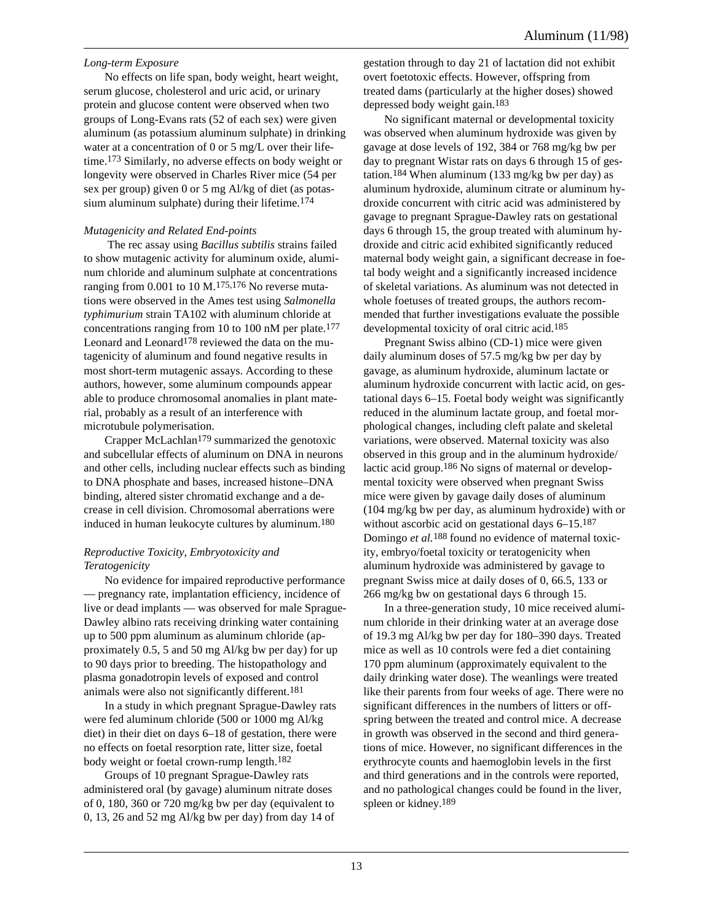## *Long-term Exposure*

No effects on life span, body weight, heart weight, serum glucose, cholesterol and uric acid, or urinary protein and glucose content were observed when two groups of Long-Evans rats (52 of each sex) were given aluminum (as potassium aluminum sulphate) in drinking water at a concentration of 0 or 5 mg/L over their lifetime.173 Similarly, no adverse effects on body weight or longevity were observed in Charles River mice (54 per sex per group) given 0 or 5 mg Al/kg of diet (as potassium aluminum sulphate) during their lifetime.<sup>174</sup>

## *Mutagenicity and Related End-points*

 The rec assay using *Bacillus subtilis* strains failed to show mutagenic activity for aluminum oxide, aluminum chloride and aluminum sulphate at concentrations ranging from  $0.001$  to  $10 M<sup>175,176</sup>$  No reverse mutations were observed in the Ames test using *Salmonella typhimurium* strain TA102 with aluminum chloride at concentrations ranging from 10 to 100 nM per plate.<sup>177</sup> Leonard and Leonard<sup>178</sup> reviewed the data on the mutagenicity of aluminum and found negative results in most short-term mutagenic assays. According to these authors, however, some aluminum compounds appear able to produce chromosomal anomalies in plant material, probably as a result of an interference with microtubule polymerisation.

Crapper McLachlan<sup>179</sup> summarized the genotoxic and subcellular effects of aluminum on DNA in neurons and other cells, including nuclear effects such as binding to DNA phosphate and bases, increased histone–DNA binding, altered sister chromatid exchange and a decrease in cell division. Chromosomal aberrations were induced in human leukocyte cultures by aluminum.180

## *Reproductive Toxicity, Embryotoxicity and Teratogenicity*

No evidence for impaired reproductive performance — pregnancy rate, implantation efficiency, incidence of live or dead implants — was observed for male Sprague-Dawley albino rats receiving drinking water containing up to 500 ppm aluminum as aluminum chloride (approximately 0.5, 5 and 50 mg Al/kg bw per day) for up to 90 days prior to breeding. The histopathology and plasma gonadotropin levels of exposed and control animals were also not significantly different.181

In a study in which pregnant Sprague-Dawley rats were fed aluminum chloride (500 or 1000 mg Al/kg diet) in their diet on days 6–18 of gestation, there were no effects on foetal resorption rate, litter size, foetal body weight or foetal crown-rump length.182

Groups of 10 pregnant Sprague-Dawley rats administered oral (by gavage) aluminum nitrate doses of 0, 180, 360 or 720 mg/kg bw per day (equivalent to 0, 13, 26 and 52 mg Al/kg bw per day) from day 14 of

gestation through to day 21 of lactation did not exhibit overt foetotoxic effects. However, offspring from treated dams (particularly at the higher doses) showed depressed body weight gain.183

No significant maternal or developmental toxicity was observed when aluminum hydroxide was given by gavage at dose levels of 192, 384 or 768 mg/kg bw per day to pregnant Wistar rats on days 6 through 15 of gestation.<sup>184</sup> When aluminum (133 mg/kg bw per day) as aluminum hydroxide, aluminum citrate or aluminum hydroxide concurrent with citric acid was administered by gavage to pregnant Sprague-Dawley rats on gestational days 6 through 15, the group treated with aluminum hydroxide and citric acid exhibited significantly reduced maternal body weight gain, a significant decrease in foetal body weight and a significantly increased incidence of skeletal variations. As aluminum was not detected in whole foetuses of treated groups, the authors recommended that further investigations evaluate the possible developmental toxicity of oral citric acid.185

Pregnant Swiss albino (CD-1) mice were given daily aluminum doses of 57.5 mg/kg bw per day by gavage, as aluminum hydroxide, aluminum lactate or aluminum hydroxide concurrent with lactic acid, on gestational days 6–15. Foetal body weight was significantly reduced in the aluminum lactate group, and foetal morphological changes, including cleft palate and skeletal variations, were observed. Maternal toxicity was also observed in this group and in the aluminum hydroxide/ lactic acid group.186 No signs of maternal or developmental toxicity were observed when pregnant Swiss mice were given by gavage daily doses of aluminum (104 mg/kg bw per day, as aluminum hydroxide) with or without ascorbic acid on gestational days  $6-15$ .<sup>187</sup> Domingo *et al.*188 found no evidence of maternal toxicity, embryo/foetal toxicity or teratogenicity when aluminum hydroxide was administered by gavage to pregnant Swiss mice at daily doses of 0, 66.5, 133 or 266 mg/kg bw on gestational days 6 through 15.

In a three-generation study, 10 mice received aluminum chloride in their drinking water at an average dose of 19.3 mg Al/kg bw per day for 180–390 days. Treated mice as well as 10 controls were fed a diet containing 170 ppm aluminum (approximately equivalent to the daily drinking water dose). The weanlings were treated like their parents from four weeks of age. There were no significant differences in the numbers of litters or offspring between the treated and control mice. A decrease in growth was observed in the second and third generations of mice. However, no significant differences in the erythrocyte counts and haemoglobin levels in the first and third generations and in the controls were reported, and no pathological changes could be found in the liver, spleen or kidney.189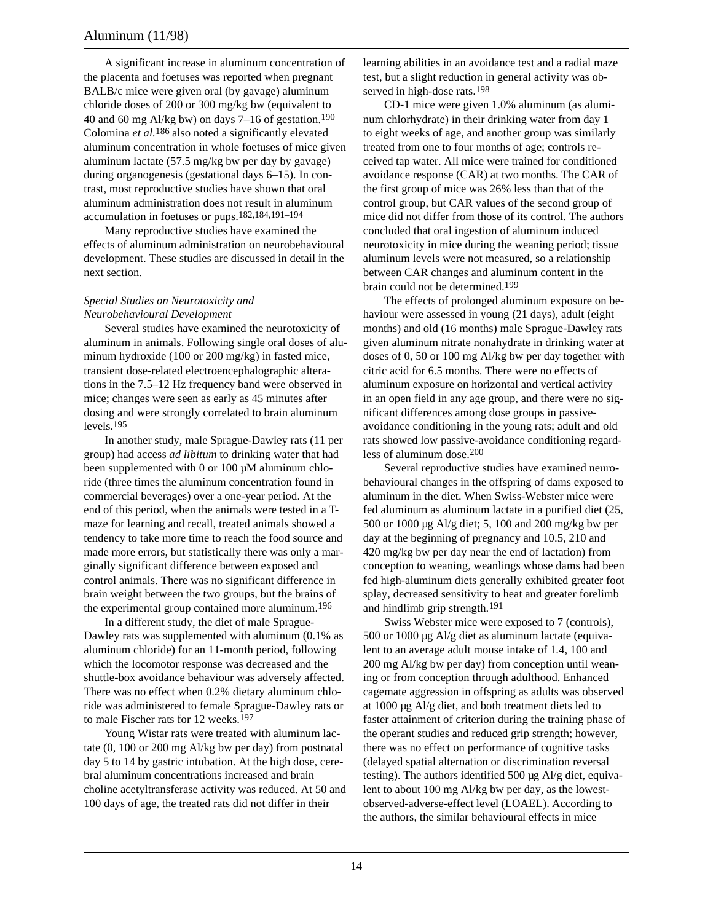A significant increase in aluminum concentration of the placenta and foetuses was reported when pregnant BALB/c mice were given oral (by gavage) aluminum chloride doses of 200 or 300 mg/kg bw (equivalent to 40 and 60 mg Al/kg bw) on days 7–16 of gestation.<sup>190</sup> Colomina *et al.*186 also noted a significantly elevated aluminum concentration in whole foetuses of mice given aluminum lactate (57.5 mg/kg bw per day by gavage) during organogenesis (gestational days 6–15). In contrast, most reproductive studies have shown that oral aluminum administration does not result in aluminum accumulation in foetuses or pups.182,184,191–194

Many reproductive studies have examined the effects of aluminum administration on neurobehavioural development. These studies are discussed in detail in the next section.

#### *Special Studies on Neurotoxicity and Neurobehavioural Development*

Several studies have examined the neurotoxicity of aluminum in animals. Following single oral doses of aluminum hydroxide (100 or 200 mg/kg) in fasted mice, transient dose-related electroencephalographic alterations in the 7.5–12 Hz frequency band were observed in mice; changes were seen as early as 45 minutes after dosing and were strongly correlated to brain aluminum levels.195

In another study, male Sprague-Dawley rats (11 per group) had access *ad libitum* to drinking water that had been supplemented with 0 or 100 µM aluminum chloride (three times the aluminum concentration found in commercial beverages) over a one-year period. At the end of this period, when the animals were tested in a Tmaze for learning and recall, treated animals showed a tendency to take more time to reach the food source and made more errors, but statistically there was only a marginally significant difference between exposed and control animals. There was no significant difference in brain weight between the two groups, but the brains of the experimental group contained more aluminum.196

In a different study, the diet of male Sprague-Dawley rats was supplemented with aluminum (0.1% as aluminum chloride) for an 11-month period, following which the locomotor response was decreased and the shuttle-box avoidance behaviour was adversely affected. There was no effect when 0.2% dietary aluminum chloride was administered to female Sprague-Dawley rats or to male Fischer rats for 12 weeks.197

Young Wistar rats were treated with aluminum lactate (0, 100 or 200 mg Al/kg bw per day) from postnatal day 5 to 14 by gastric intubation. At the high dose, cerebral aluminum concentrations increased and brain choline acetyltransferase activity was reduced. At 50 and 100 days of age, the treated rats did not differ in their

learning abilities in an avoidance test and a radial maze test, but a slight reduction in general activity was observed in high-dose rats.198

CD-1 mice were given 1.0% aluminum (as aluminum chlorhydrate) in their drinking water from day 1 to eight weeks of age, and another group was similarly treated from one to four months of age; controls received tap water. All mice were trained for conditioned avoidance response (CAR) at two months. The CAR of the first group of mice was 26% less than that of the control group, but CAR values of the second group of mice did not differ from those of its control. The authors concluded that oral ingestion of aluminum induced neurotoxicity in mice during the weaning period; tissue aluminum levels were not measured, so a relationship between CAR changes and aluminum content in the brain could not be determined.199

The effects of prolonged aluminum exposure on behaviour were assessed in young (21 days), adult (eight months) and old (16 months) male Sprague-Dawley rats given aluminum nitrate nonahydrate in drinking water at doses of 0, 50 or 100 mg Al/kg bw per day together with citric acid for 6.5 months. There were no effects of aluminum exposure on horizontal and vertical activity in an open field in any age group, and there were no significant differences among dose groups in passiveavoidance conditioning in the young rats; adult and old rats showed low passive-avoidance conditioning regardless of aluminum dose.200

Several reproductive studies have examined neurobehavioural changes in the offspring of dams exposed to aluminum in the diet. When Swiss-Webster mice were fed aluminum as aluminum lactate in a purified diet (25, 500 or 1000 µg Al/g diet; 5, 100 and 200 mg/kg bw per day at the beginning of pregnancy and 10.5, 210 and 420 mg/kg bw per day near the end of lactation) from conception to weaning, weanlings whose dams had been fed high-aluminum diets generally exhibited greater foot splay, decreased sensitivity to heat and greater forelimb and hindlimb grip strength.191

Swiss Webster mice were exposed to 7 (controls), 500 or 1000 µg Al/g diet as aluminum lactate (equivalent to an average adult mouse intake of 1.4, 100 and 200 mg Al/kg bw per day) from conception until weaning or from conception through adulthood. Enhanced cagemate aggression in offspring as adults was observed at 1000 µg Al/g diet, and both treatment diets led to faster attainment of criterion during the training phase of the operant studies and reduced grip strength; however, there was no effect on performance of cognitive tasks (delayed spatial alternation or discrimination reversal testing). The authors identified 500 µg Al/g diet, equivalent to about 100 mg Al/kg bw per day, as the lowestobserved-adverse-effect level (LOAEL). According to the authors, the similar behavioural effects in mice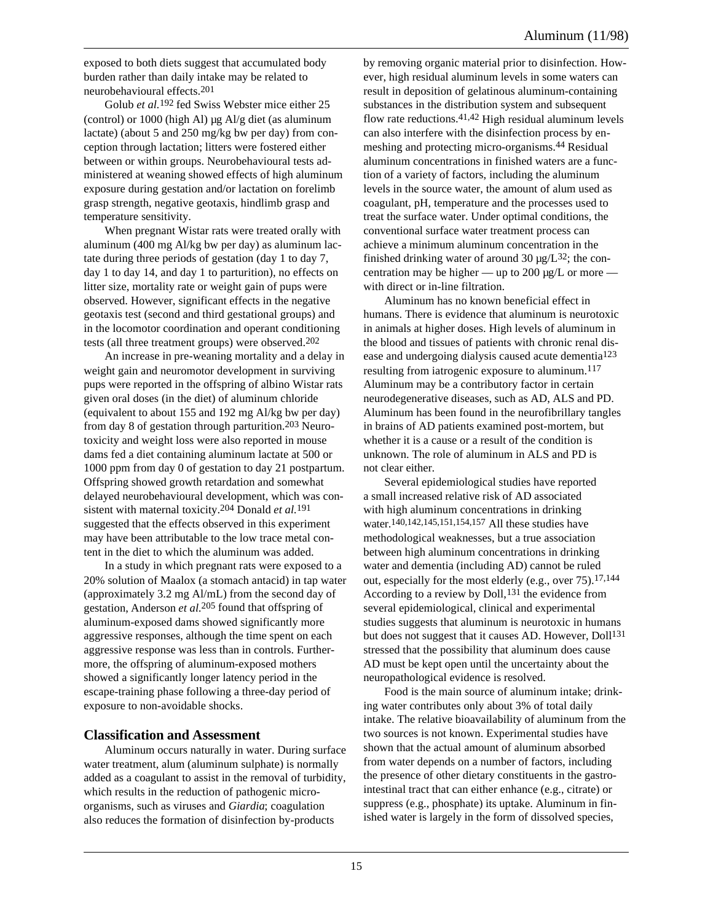exposed to both diets suggest that accumulated body burden rather than daily intake may be related to neurobehavioural effects.201

Golub *et al.*192 fed Swiss Webster mice either 25 (control) or  $1000$  (high Al)  $\mu$ g Al/g diet (as aluminum lactate) (about 5 and 250 mg/kg bw per day) from conception through lactation; litters were fostered either between or within groups. Neurobehavioural tests administered at weaning showed effects of high aluminum exposure during gestation and/or lactation on forelimb grasp strength, negative geotaxis, hindlimb grasp and temperature sensitivity.

When pregnant Wistar rats were treated orally with aluminum (400 mg Al/kg bw per day) as aluminum lactate during three periods of gestation (day 1 to day 7, day 1 to day 14, and day 1 to parturition), no effects on litter size, mortality rate or weight gain of pups were observed. However, significant effects in the negative geotaxis test (second and third gestational groups) and in the locomotor coordination and operant conditioning tests (all three treatment groups) were observed.202

An increase in pre-weaning mortality and a delay in weight gain and neuromotor development in surviving pups were reported in the offspring of albino Wistar rats given oral doses (in the diet) of aluminum chloride (equivalent to about 155 and 192 mg Al/kg bw per day) from day 8 of gestation through parturition.203 Neurotoxicity and weight loss were also reported in mouse dams fed a diet containing aluminum lactate at 500 or 1000 ppm from day 0 of gestation to day 21 postpartum. Offspring showed growth retardation and somewhat delayed neurobehavioural development, which was consistent with maternal toxicity.204 Donald *et al.*191 suggested that the effects observed in this experiment may have been attributable to the low trace metal content in the diet to which the aluminum was added.

In a study in which pregnant rats were exposed to a 20% solution of Maalox (a stomach antacid) in tap water (approximately 3.2 mg Al/mL) from the second day of gestation, Anderson *et al.*205 found that offspring of aluminum-exposed dams showed significantly more aggressive responses, although the time spent on each aggressive response was less than in controls. Furthermore, the offspring of aluminum-exposed mothers showed a significantly longer latency period in the escape-training phase following a three-day period of exposure to non-avoidable shocks.

# **Classification and Assessment**

Aluminum occurs naturally in water. During surface water treatment, alum (aluminum sulphate) is normally added as a coagulant to assist in the removal of turbidity, which results in the reduction of pathogenic microorganisms, such as viruses and *Giardia*; coagulation also reduces the formation of disinfection by-products

by removing organic material prior to disinfection. However, high residual aluminum levels in some waters can result in deposition of gelatinous aluminum-containing substances in the distribution system and subsequent flow rate reductions. $41,42$  High residual aluminum levels can also interfere with the disinfection process by enmeshing and protecting micro-organisms.44 Residual aluminum concentrations in finished waters are a function of a variety of factors, including the aluminum levels in the source water, the amount of alum used as coagulant, pH, temperature and the processes used to treat the surface water. Under optimal conditions, the conventional surface water treatment process can achieve a minimum aluminum concentration in the finished drinking water of around 30  $\mu$ g/L<sup>32</sup>; the concentration may be higher — up to 200  $\mu$ g/L or more with direct or in-line filtration.

Aluminum has no known beneficial effect in humans. There is evidence that aluminum is neurotoxic in animals at higher doses. High levels of aluminum in the blood and tissues of patients with chronic renal disease and undergoing dialysis caused acute dementia123 resulting from iatrogenic exposure to aluminum.<sup>117</sup> Aluminum may be a contributory factor in certain neurodegenerative diseases, such as AD, ALS and PD. Aluminum has been found in the neurofibrillary tangles in brains of AD patients examined post-mortem, but whether it is a cause or a result of the condition is unknown. The role of aluminum in ALS and PD is not clear either.

Several epidemiological studies have reported a small increased relative risk of AD associated with high aluminum concentrations in drinking water.140,142,145,151,154,157 All these studies have methodological weaknesses, but a true association between high aluminum concentrations in drinking water and dementia (including AD) cannot be ruled out, especially for the most elderly (e.g., over 75).17,144 According to a review by Doll,<sup>131</sup> the evidence from several epidemiological, clinical and experimental studies suggests that aluminum is neurotoxic in humans but does not suggest that it causes AD. However, Doll<sup>131</sup> stressed that the possibility that aluminum does cause AD must be kept open until the uncertainty about the neuropathological evidence is resolved.

Food is the main source of aluminum intake; drinking water contributes only about 3% of total daily intake. The relative bioavailability of aluminum from the two sources is not known. Experimental studies have shown that the actual amount of aluminum absorbed from water depends on a number of factors, including the presence of other dietary constituents in the gastrointestinal tract that can either enhance (e.g., citrate) or suppress (e.g., phosphate) its uptake. Aluminum in finished water is largely in the form of dissolved species,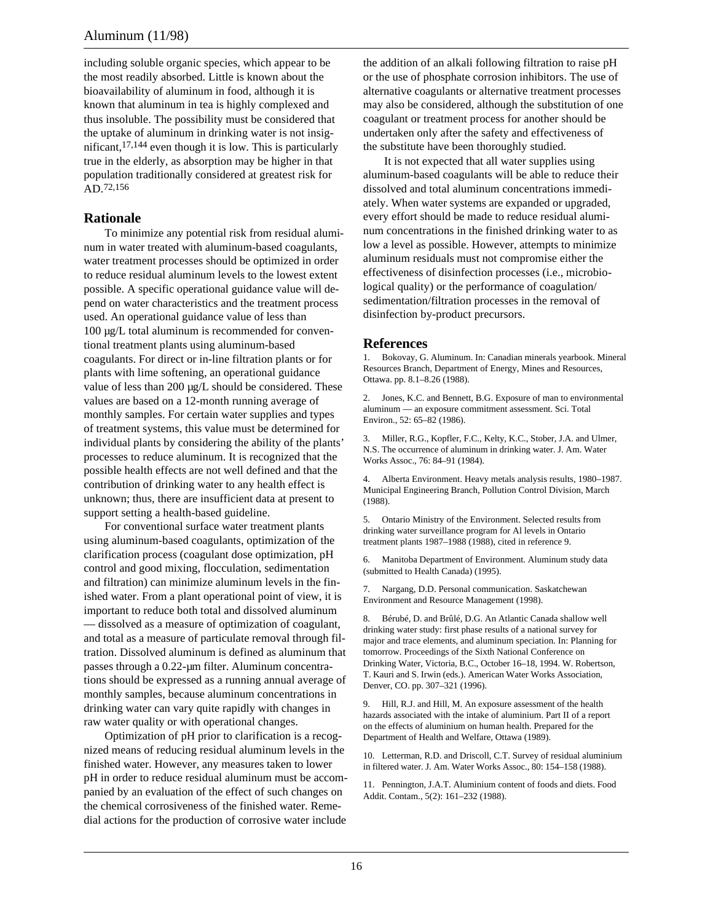including soluble organic species, which appear to be the most readily absorbed. Little is known about the bioavailability of aluminum in food, although it is known that aluminum in tea is highly complexed and thus insoluble. The possibility must be considered that the uptake of aluminum in drinking water is not insignificant,17,144 even though it is low. This is particularly true in the elderly, as absorption may be higher in that population traditionally considered at greatest risk for AD.72,156

# **Rationale**

To minimize any potential risk from residual aluminum in water treated with aluminum-based coagulants, water treatment processes should be optimized in order to reduce residual aluminum levels to the lowest extent possible. A specific operational guidance value will depend on water characteristics and the treatment process used. An operational guidance value of less than 100 µg/L total aluminum is recommended for conventional treatment plants using aluminum-based coagulants. For direct or in-line filtration plants or for plants with lime softening, an operational guidance value of less than 200 µg/L should be considered. These values are based on a 12-month running average of monthly samples. For certain water supplies and types of treatment systems, this value must be determined for individual plants by considering the ability of the plants' processes to reduce aluminum. It is recognized that the possible health effects are not well defined and that the contribution of drinking water to any health effect is unknown; thus, there are insufficient data at present to support setting a health-based guideline.

For conventional surface water treatment plants using aluminum-based coagulants, optimization of the clarification process (coagulant dose optimization, pH control and good mixing, flocculation, sedimentation and filtration) can minimize aluminum levels in the finished water. From a plant operational point of view, it is important to reduce both total and dissolved aluminum — dissolved as a measure of optimization of coagulant, and total as a measure of particulate removal through filtration. Dissolved aluminum is defined as aluminum that passes through a 0.22-µm filter. Aluminum concentrations should be expressed as a running annual average of monthly samples, because aluminum concentrations in drinking water can vary quite rapidly with changes in raw water quality or with operational changes.

Optimization of pH prior to clarification is a recognized means of reducing residual aluminum levels in the finished water. However, any measures taken to lower pH in order to reduce residual aluminum must be accompanied by an evaluation of the effect of such changes on the chemical corrosiveness of the finished water. Remedial actions for the production of corrosive water include

the addition of an alkali following filtration to raise pH or the use of phosphate corrosion inhibitors. The use of alternative coagulants or alternative treatment processes may also be considered, although the substitution of one coagulant or treatment process for another should be undertaken only after the safety and effectiveness of the substitute have been thoroughly studied.

It is not expected that all water supplies using aluminum-based coagulants will be able to reduce their dissolved and total aluminum concentrations immediately. When water systems are expanded or upgraded, every effort should be made to reduce residual aluminum concentrations in the finished drinking water to as low a level as possible. However, attempts to minimize aluminum residuals must not compromise either the effectiveness of disinfection processes (i.e., microbiological quality) or the performance of coagulation/ sedimentation/filtration processes in the removal of disinfection by-product precursors.

# **References**

1. Bokovay, G. Aluminum. In: Canadian minerals yearbook. Mineral Resources Branch, Department of Energy, Mines and Resources, Ottawa. pp. 8.1–8.26 (1988).

2. Jones, K.C. and Bennett, B.G. Exposure of man to environmental aluminum — an exposure commitment assessment. Sci. Total Environ., 52: 65–82 (1986).

3. Miller, R.G., Kopfler, F.C., Kelty, K.C., Stober, J.A. and Ulmer, N.S. The occurrence of aluminum in drinking water. J. Am. Water Works Assoc., 76: 84–91 (1984).

4. Alberta Environment. Heavy metals analysis results, 1980–1987. Municipal Engineering Branch, Pollution Control Division, March (1988).

5. Ontario Ministry of the Environment. Selected results from drinking water surveillance program for Al levels in Ontario treatment plants 1987–1988 (1988), cited in reference 9.

6. Manitoba Department of Environment. Aluminum study data (submitted to Health Canada) (1995).

7. Nargang, D.D. Personal communication. Saskatchewan Environment and Resource Management (1998).

8. Bérubé, D. and Brûlé, D.G. An Atlantic Canada shallow well drinking water study: first phase results of a national survey for major and trace elements, and aluminum speciation. In: Planning for tomorrow. Proceedings of the Sixth National Conference on Drinking Water, Victoria, B.C., October 16–18, 1994. W. Robertson, T. Kauri and S. Irwin (eds.). American Water Works Association, Denver, CO. pp. 307–321 (1996).

9. Hill, R.J. and Hill, M. An exposure assessment of the health hazards associated with the intake of aluminium. Part II of a report on the effects of aluminium on human health. Prepared for the Department of Health and Welfare, Ottawa (1989).

10. Letterman, R.D. and Driscoll, C.T. Survey of residual aluminium in filtered water. J. Am. Water Works Assoc., 80: 154–158 (1988).

11. Pennington, J.A.T. Aluminium content of foods and diets. Food Addit. Contam., 5(2): 161–232 (1988).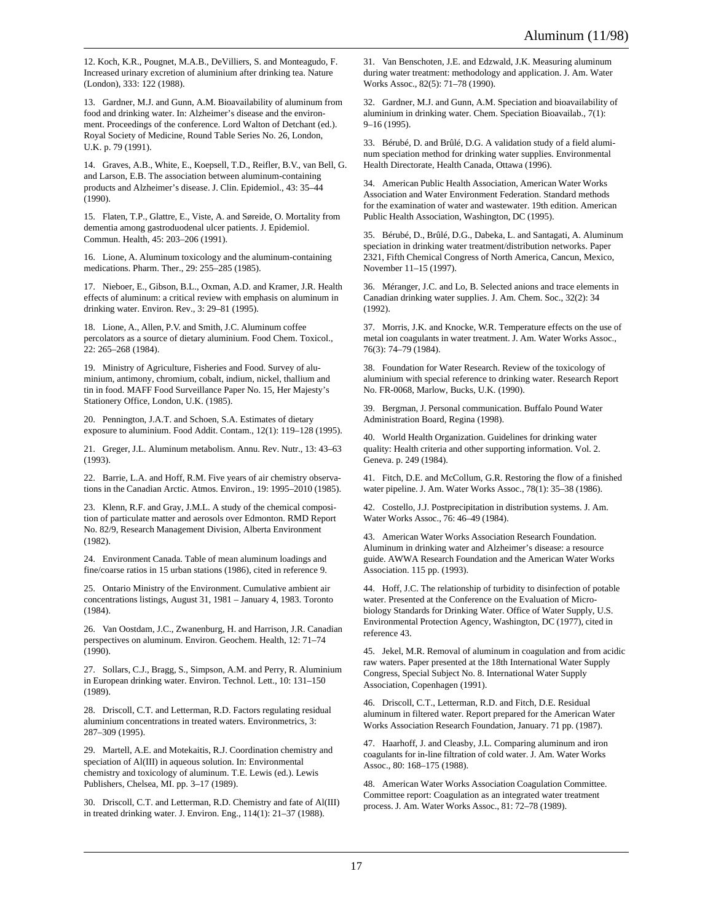12. Koch, K.R., Pougnet, M.A.B., DeVilliers, S. and Monteagudo, F. Increased urinary excretion of aluminium after drinking tea. Nature (London), 333: 122 (1988).

13. Gardner, M.J. and Gunn, A.M. Bioavailability of aluminum from food and drinking water. In: Alzheimer's disease and the environment. Proceedings of the conference. Lord Walton of Detchant (ed.). Royal Society of Medicine, Round Table Series No. 26, London, U.K. p. 79 (1991).

14. Graves, A.B., White, E., Koepsell, T.D., Reifler, B.V., van Bell, G. and Larson, E.B. The association between aluminum-containing products and Alzheimer's disease. J. Clin. Epidemiol., 43: 35–44 (1990).

15. Flaten, T.P., Glattre, E., Viste, A. and Søreide, O. Mortality from dementia among gastroduodenal ulcer patients. J. Epidemiol. Commun. Health, 45: 203–206 (1991).

16. Lione, A. Aluminum toxicology and the aluminum-containing medications. Pharm. Ther., 29: 255–285 (1985).

17. Nieboer, E., Gibson, B.L., Oxman, A.D. and Kramer, J.R. Health effects of aluminum: a critical review with emphasis on aluminum in drinking water. Environ. Rev., 3: 29–81 (1995).

18. Lione, A., Allen, P.V. and Smith, J.C. Aluminum coffee percolators as a source of dietary aluminium. Food Chem. Toxicol., 22: 265–268 (1984).

19. Ministry of Agriculture, Fisheries and Food. Survey of aluminium, antimony, chromium, cobalt, indium, nickel, thallium and tin in food. MAFF Food Surveillance Paper No. 15, Her Majesty's Stationery Office, London, U.K. (1985).

20. Pennington, J.A.T. and Schoen, S.A. Estimates of dietary exposure to aluminium. Food Addit. Contam., 12(1): 119–128 (1995).

21. Greger, J.L. Aluminum metabolism. Annu. Rev. Nutr., 13: 43–63 (1993).

22. Barrie, L.A. and Hoff, R.M. Five years of air chemistry observations in the Canadian Arctic. Atmos. Environ., 19: 1995–2010 (1985).

23. Klenn, R.F. and Gray, J.M.L. A study of the chemical composition of particulate matter and aerosols over Edmonton. RMD Report No. 82/9, Research Management Division, Alberta Environment (1982).

24. Environment Canada. Table of mean aluminum loadings and fine/coarse ratios in 15 urban stations (1986), cited in reference 9.

25. Ontario Ministry of the Environment. Cumulative ambient air concentrations listings, August 31, 1981 – January 4, 1983. Toronto (1984).

26. Van Oostdam, J.C., Zwanenburg, H. and Harrison, J.R. Canadian perspectives on aluminum. Environ. Geochem. Health, 12: 71–74 (1990).

27. Sollars, C.J., Bragg, S., Simpson, A.M. and Perry, R. Aluminium in European drinking water. Environ. Technol. Lett., 10: 131–150 (1989).

28. Driscoll, C.T. and Letterman, R.D. Factors regulating residual aluminium concentrations in treated waters. Environmetrics, 3: 287–309 (1995).

29. Martell, A.E. and Motekaitis, R.J. Coordination chemistry and speciation of Al(III) in aqueous solution. In: Environmental chemistry and toxicology of aluminum. T.E. Lewis (ed.). Lewis Publishers, Chelsea, MI. pp. 3–17 (1989).

30. Driscoll, C.T. and Letterman, R.D. Chemistry and fate of Al(III) in treated drinking water. J. Environ. Eng., 114(1): 21–37 (1988).

31. Van Benschoten, J.E. and Edzwald, J.K. Measuring aluminum during water treatment: methodology and application. J. Am. Water Works Assoc., 82(5): 71–78 (1990).

32. Gardner, M.J. and Gunn, A.M. Speciation and bioavailability of aluminium in drinking water. Chem. Speciation Bioavailab., 7(1): 9–16 (1995).

33. Bérubé, D. and Brûlé, D.G. A validation study of a field aluminum speciation method for drinking water supplies. Environmental Health Directorate, Health Canada, Ottawa (1996).

34. American Public Health Association, American Water Works Association and Water Environment Federation. Standard methods for the examination of water and wastewater. 19th edition. American Public Health Association, Washington, DC (1995).

35. Bérubé, D., Brûlé, D.G., Dabeka, L. and Santagati, A. Aluminum speciation in drinking water treatment/distribution networks. Paper 2321, Fifth Chemical Congress of North America, Cancun, Mexico, November 11–15 (1997).

36. Méranger, J.C. and Lo, B. Selected anions and trace elements in Canadian drinking water supplies. J. Am. Chem. Soc., 32(2): 34 (1992).

37. Morris, J.K. and Knocke, W.R. Temperature effects on the use of metal ion coagulants in water treatment. J. Am. Water Works Assoc., 76(3): 74–79 (1984).

38. Foundation for Water Research. Review of the toxicology of aluminium with special reference to drinking water. Research Report No. FR-0068, Marlow, Bucks, U.K. (1990).

39. Bergman, J. Personal communication. Buffalo Pound Water Administration Board, Regina (1998).

40. World Health Organization. Guidelines for drinking water quality: Health criteria and other supporting information. Vol. 2. Geneva. p. 249 (1984).

41. Fitch, D.E. and McCollum, G.R. Restoring the flow of a finished water pipeline. J. Am. Water Works Assoc., 78(1): 35–38 (1986).

42. Costello, J.J. Postprecipitation in distribution systems. J. Am. Water Works Assoc., 76: 46–49 (1984).

43. American Water Works Association Research Foundation. Aluminum in drinking water and Alzheimer's disease: a resource guide. AWWA Research Foundation and the American Water Works Association. 115 pp. (1993).

44. Hoff, J.C. The relationship of turbidity to disinfection of potable water. Presented at the Conference on the Evaluation of Microbiology Standards for Drinking Water. Office of Water Supply, U.S. Environmental Protection Agency, Washington, DC (1977), cited in reference 43.

45. Jekel, M.R. Removal of aluminum in coagulation and from acidic raw waters. Paper presented at the 18th International Water Supply Congress, Special Subject No. 8. International Water Supply Association, Copenhagen (1991).

46. Driscoll, C.T., Letterman, R.D. and Fitch, D.E. Residual aluminum in filtered water. Report prepared for the American Water Works Association Research Foundation, January. 71 pp. (1987).

47. Haarhoff, J. and Cleasby, J.L. Comparing aluminum and iron coagulants for in-line filtration of cold water. J. Am. Water Works Assoc., 80: 168–175 (1988).

48. American Water Works Association Coagulation Committee. Committee report: Coagulation as an integrated water treatment process. J. Am. Water Works Assoc., 81: 72–78 (1989).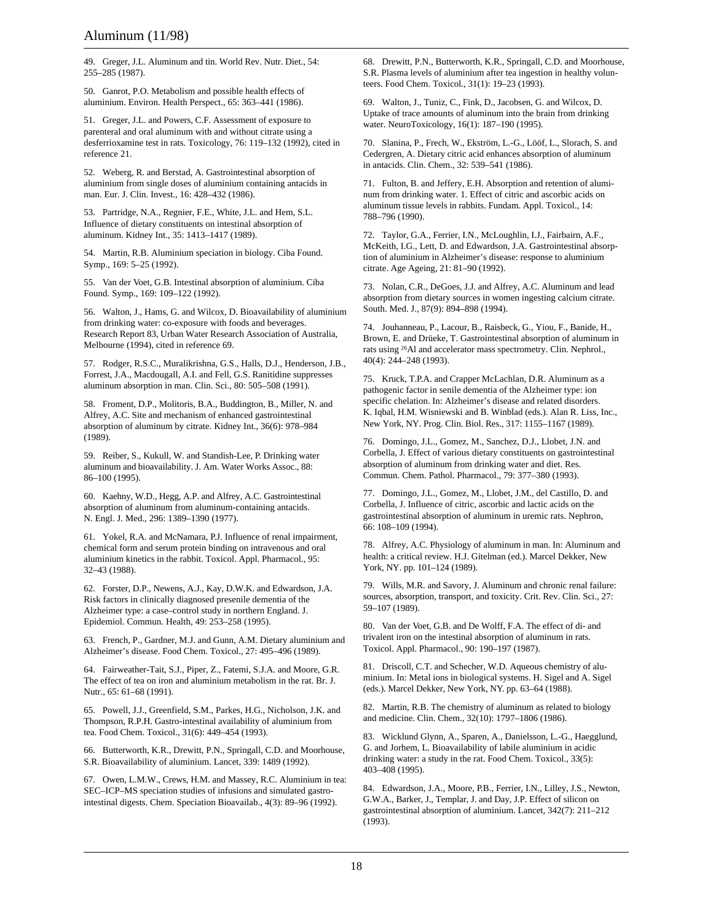49. Greger, J.L. Aluminum and tin. World Rev. Nutr. Diet., 54: 255–285 (1987).

50. Ganrot, P.O. Metabolism and possible health effects of aluminium. Environ. Health Perspect., 65: 363–441 (1986).

51. Greger, J.L. and Powers, C.F. Assessment of exposure to parenteral and oral aluminum with and without citrate using a desferrioxamine test in rats. Toxicology, 76: 119–132 (1992), cited in reference 21.

52. Weberg, R. and Berstad, A. Gastrointestinal absorption of aluminium from single doses of aluminium containing antacids in man. Eur. J. Clin. Invest., 16: 428–432 (1986).

53. Partridge, N.A., Regnier, F.E., White, J.L. and Hem, S.L. Influence of dietary constituents on intestinal absorption of aluminum. Kidney Int., 35: 1413–1417 (1989).

54. Martin, R.B. Aluminium speciation in biology. Ciba Found. Symp., 169: 5–25 (1992).

55. Van der Voet, G.B. Intestinal absorption of aluminium. Ciba Found. Symp., 169: 109–122 (1992).

56. Walton, J., Hams, G. and Wilcox, D. Bioavailability of aluminium from drinking water: co-exposure with foods and beverages. Research Report 83, Urban Water Research Association of Australia, Melbourne (1994), cited in reference 69.

57. Rodger, R.S.C., Muralikrishna, G.S., Halls, D.J., Henderson, J.B., Forrest, J.A., Macdougall, A.I. and Fell, G.S. Ranitidine suppresses aluminum absorption in man. Clin. Sci., 80: 505–508 (1991).

58. Froment, D.P., Molitoris, B.A., Buddington, B., Miller, N. and Alfrey, A.C. Site and mechanism of enhanced gastrointestinal absorption of aluminum by citrate. Kidney Int., 36(6): 978–984 (1989).

59. Reiber, S., Kukull, W. and Standish-Lee, P. Drinking water aluminum and bioavailability. J. Am. Water Works Assoc., 88: 86–100 (1995).

60. Kaehny, W.D., Hegg, A.P. and Alfrey, A.C. Gastrointestinal absorption of aluminum from aluminum-containing antacids. N. Engl. J. Med., 296: 1389–1390 (1977).

61. Yokel, R.A. and McNamara, P.J. Influence of renal impairment, chemical form and serum protein binding on intravenous and oral aluminium kinetics in the rabbit. Toxicol. Appl. Pharmacol., 95: 32–43 (1988).

62. Forster, D.P., Newens, A.J., Kay, D.W.K. and Edwardson, J.A. Risk factors in clinically diagnosed presenile dementia of the Alzheimer type: a case–control study in northern England. J. Epidemiol. Commun. Health, 49: 253–258 (1995).

63. French, P., Gardner, M.J. and Gunn, A.M. Dietary aluminium and Alzheimer's disease. Food Chem. Toxicol., 27: 495–496 (1989).

64. Fairweather-Tait, S.J., Piper, Z., Fatemi, S.J.A. and Moore, G.R. The effect of tea on iron and aluminium metabolism in the rat. Br. J. Nutr., 65: 61–68 (1991).

65. Powell, J.J., Greenfield, S.M., Parkes, H.G., Nicholson, J.K. and Thompson, R.P.H. Gastro-intestinal availability of aluminium from tea. Food Chem. Toxicol., 31(6): 449–454 (1993).

66. Butterworth, K.R., Drewitt, P.N., Springall, C.D. and Moorhouse, S.R. Bioavailability of aluminium. Lancet, 339: 1489 (1992).

67. Owen, L.M.W., Crews, H.M. and Massey, R.C. Aluminium in tea: SEC–ICP–MS speciation studies of infusions and simulated gastrointestinal digests. Chem. Speciation Bioavailab., 4(3): 89–96 (1992).

68. Drewitt, P.N., Butterworth, K.R., Springall, C.D. and Moorhouse, S.R. Plasma levels of aluminium after tea ingestion in healthy volunteers. Food Chem. Toxicol., 31(1): 19–23 (1993).

69. Walton, J., Tuniz, C., Fink, D., Jacobsen, G. and Wilcox, D. Uptake of trace amounts of aluminum into the brain from drinking water. NeuroToxicology, 16(1): 187–190 (1995).

70. Slanina, P., Frech, W., Ekström, L.-G., Lööf, L., Slorach, S. and Cedergren, A. Dietary citric acid enhances absorption of aluminum in antacids. Clin. Chem., 32: 539–541 (1986).

71. Fulton, B. and Jeffery, E.H. Absorption and retention of aluminum from drinking water. 1. Effect of citric and ascorbic acids on aluminum tissue levels in rabbits. Fundam. Appl. Toxicol., 14: 788–796 (1990).

72. Taylor, G.A., Ferrier, I.N., McLoughlin, I.J., Fairbairn, A.F., McKeith, I.G., Lett, D. and Edwardson, J.A. Gastrointestinal absorption of aluminium in Alzheimer's disease: response to aluminium citrate. Age Ageing, 21: 81–90 (1992).

73. Nolan, C.R., DeGoes, J.J. and Alfrey, A.C. Aluminum and lead absorption from dietary sources in women ingesting calcium citrate. South. Med. J., 87(9): 894–898 (1994).

74. Jouhanneau, P., Lacour, B., Raisbeck, G., Yiou, F., Banide, H., Brown, E. and Drüeke, T. Gastrointestinal absorption of aluminum in rats using 26Al and accelerator mass spectrometry. Clin. Nephrol., 40(4): 244–248 (1993).

75. Kruck, T.P.A. and Crapper McLachlan, D.R. Aluminum as a pathogenic factor in senile dementia of the Alzheimer type: ion specific chelation. In: Alzheimer's disease and related disorders. K. Iqbal, H.M. Wisniewski and B. Winblad (eds.). Alan R. Liss, Inc., New York, NY. Prog. Clin. Biol. Res., 317: 1155–1167 (1989).

76. Domingo, J.L., Gomez, M., Sanchez, D.J., Llobet, J.N. and Corbella, J. Effect of various dietary constituents on gastrointestinal absorption of aluminum from drinking water and diet. Res. Commun. Chem. Pathol. Pharmacol., 79: 377–380 (1993).

77. Domingo, J.L., Gomez, M., Llobet, J.M., del Castillo, D. and Corbella, J. Influence of citric, ascorbic and lactic acids on the gastrointestinal absorption of aluminum in uremic rats. Nephron, 66: 108–109 (1994).

78. Alfrey, A.C. Physiology of aluminum in man. In: Aluminum and health: a critical review. H.J. Gitelman (ed.). Marcel Dekker, New York, NY. pp. 101–124 (1989).

79. Wills, M.R. and Savory, J. Aluminum and chronic renal failure: sources, absorption, transport, and toxicity. Crit. Rev. Clin. Sci., 27: 59–107 (1989).

80. Van der Voet, G.B. and De Wolff, F.A. The effect of di- and trivalent iron on the intestinal absorption of aluminum in rats. Toxicol. Appl. Pharmacol., 90: 190–197 (1987).

81. Driscoll, C.T. and Schecher, W.D. Aqueous chemistry of aluminium. In: Metal ions in biological systems. H. Sigel and A. Sigel (eds.). Marcel Dekker, New York, NY. pp. 63–64 (1988).

82. Martin, R.B. The chemistry of aluminum as related to biology and medicine. Clin. Chem., 32(10): 1797–1806 (1986).

83. Wicklund Glynn, A., Sparen, A., Danielsson, L.-G., Haegglund, G. and Jorhem, L. Bioavailability of labile aluminium in acidic drinking water: a study in the rat. Food Chem. Toxicol., 33(5): 403–408 (1995).

84. Edwardson, J.A., Moore, P.B., Ferrier, I.N., Lilley, J.S., Newton, G.W.A., Barker, J., Templar, J. and Day, J.P. Effect of silicon on gastrointestinal absorption of aluminium. Lancet, 342(7): 211–212 (1993).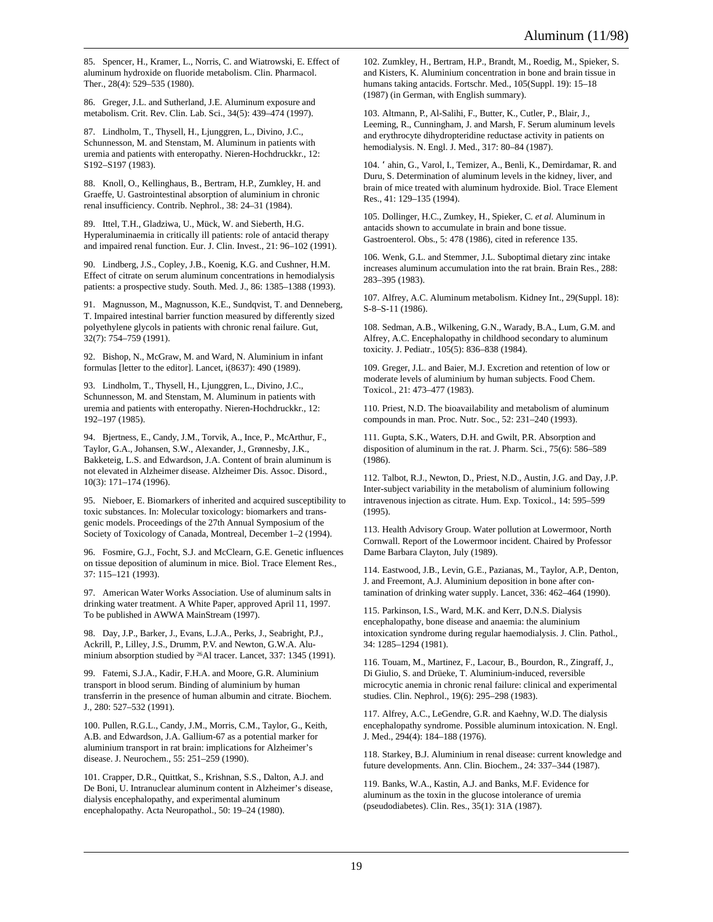85. Spencer, H., Kramer, L., Norris, C. and Wiatrowski, E. Effect of aluminum hydroxide on fluoride metabolism. Clin. Pharmacol. Ther., 28(4): 529–535 (1980).

86. Greger, J.L. and Sutherland, J.E. Aluminum exposure and metabolism. Crit. Rev. Clin. Lab. Sci., 34(5): 439–474 (1997).

87. Lindholm, T., Thysell, H., Ljunggren, L., Divino, J.C., Schunnesson, M. and Stenstam, M. Aluminum in patients with uremia and patients with enteropathy. Nieren-Hochdruckkr., 12: S192–S197 (1983).

88. Knoll, O., Kellinghaus, B., Bertram, H.P., Zumkley, H. and Graeffe, U. Gastrointestinal absorption of aluminium in chronic renal insufficiency. Contrib. Nephrol., 38: 24–31 (1984).

89. Ittel, T.H., Gladziwa, U., Mück, W. and Sieberth, H.G. Hyperaluminaemia in critically ill patients: role of antacid therapy and impaired renal function. Eur. J. Clin. Invest., 21: 96–102 (1991).

90. Lindberg, J.S., Copley, J.B., Koenig, K.G. and Cushner, H.M. Effect of citrate on serum aluminum concentrations in hemodialysis patients: a prospective study. South. Med. J., 86: 1385–1388 (1993).

91. Magnusson, M., Magnusson, K.E., Sundqvist, T. and Denneberg, T. Impaired intestinal barrier function measured by differently sized polyethylene glycols in patients with chronic renal failure. Gut, 32(7): 754–759 (1991).

92. Bishop, N., McGraw, M. and Ward, N. Aluminium in infant formulas [letter to the editor]. Lancet, i(8637): 490 (1989).

93. Lindholm, T., Thysell, H., Ljunggren, L., Divino, J.C., Schunnesson, M. and Stenstam, M. Aluminum in patients with uremia and patients with enteropathy. Nieren-Hochdruckkr., 12: 192–197 (1985).

94. Bjertness, E., Candy, J.M., Torvik, A., Ince, P., McArthur, F., Taylor, G.A., Johansen, S.W., Alexander, J., Grønnesby, J.K., Bakketeig, L.S. and Edwardson, J.A. Content of brain aluminum is not elevated in Alzheimer disease. Alzheimer Dis. Assoc. Disord., 10(3): 171–174 (1996).

95. Nieboer, E. Biomarkers of inherited and acquired susceptibility to toxic substances. In: Molecular toxicology: biomarkers and transgenic models. Proceedings of the 27th Annual Symposium of the Society of Toxicology of Canada, Montreal, December 1–2 (1994).

96. Fosmire, G.J., Focht, S.J. and McClearn, G.E. Genetic influences on tissue deposition of aluminum in mice. Biol. Trace Element Res., 37: 115–121 (1993).

97. American Water Works Association. Use of aluminum salts in drinking water treatment. A White Paper, approved April 11, 1997. To be published in AWWA MainStream (1997).

98. Day, J.P., Barker, J., Evans, L.J.A., Perks, J., Seabright, P.J., Ackrill, P., Lilley, J.S., Drumm, P.V. and Newton, G.W.A. Aluminium absorption studied by 26Al tracer. Lancet, 337: 1345 (1991).

99. Fatemi, S.J.A., Kadir, F.H.A. and Moore, G.R. Aluminium transport in blood serum. Binding of aluminium by human transferrin in the presence of human albumin and citrate. Biochem. J., 280: 527–532 (1991).

100. Pullen, R.G.L., Candy, J.M., Morris, C.M., Taylor, G., Keith, A.B. and Edwardson, J.A. Gallium-67 as a potential marker for aluminium transport in rat brain: implications for Alzheimer's disease. J. Neurochem., 55: 251–259 (1990).

101. Crapper, D.R., Quittkat, S., Krishnan, S.S., Dalton, A.J. and De Boni, U. Intranuclear aluminum content in Alzheimer's disease, dialysis encephalopathy, and experimental aluminum encephalopathy. Acta Neuropathol., 50: 19–24 (1980).

102. Zumkley, H., Bertram, H.P., Brandt, M., Roedig, M., Spieker, S. and Kisters, K. Aluminium concentration in bone and brain tissue in humans taking antacids. Fortschr. Med., 105(Suppl. 19): 15–18 (1987) (in German, with English summary).

103. Altmann, P., Al-Salihi, F., Butter, K., Cutler, P., Blair, J., Leeming, R., Cunningham, J. and Marsh, F. Serum aluminum levels and erythrocyte dihydropteridine reductase activity in patients on hemodialysis. N. Engl. J. Med., 317: 80–84 (1987).

104. Ôahin, G., Varol, I., Temizer, A., Benli, K., Demirdamar, R. and Duru, S. Determination of aluminum levels in the kidney, liver, and brain of mice treated with aluminum hydroxide. Biol. Trace Element Res., 41: 129–135 (1994).

105. Dollinger, H.C., Zumkey, H., Spieker, C. *et al.* Aluminum in antacids shown to accumulate in brain and bone tissue. Gastroenterol. Obs., 5: 478 (1986), cited in reference 135.

106. Wenk, G.L. and Stemmer, J.L. Suboptimal dietary zinc intake increases aluminum accumulation into the rat brain. Brain Res., 288: 283–395 (1983).

107. Alfrey, A.C. Aluminum metabolism. Kidney Int., 29(Suppl. 18): S-8–S-11 (1986).

108. Sedman, A.B., Wilkening, G.N., Warady, B.A., Lum, G.M. and Alfrey, A.C. Encephalopathy in childhood secondary to aluminum toxicity. J. Pediatr., 105(5): 836–838 (1984).

109. Greger, J.L. and Baier, M.J. Excretion and retention of low or moderate levels of aluminium by human subjects. Food Chem. Toxicol., 21: 473–477 (1983).

110. Priest, N.D. The bioavailability and metabolism of aluminum compounds in man. Proc. Nutr. Soc., 52: 231–240 (1993).

111. Gupta, S.K., Waters, D.H. and Gwilt, P.R. Absorption and disposition of aluminum in the rat. J. Pharm. Sci., 75(6): 586–589 (1986).

112. Talbot, R.J., Newton, D., Priest, N.D., Austin, J.G. and Day, J.P. Inter-subject variability in the metabolism of aluminium following intravenous injection as citrate. Hum. Exp. Toxicol., 14: 595–599 (1995).

113. Health Advisory Group. Water pollution at Lowermoor, North Cornwall. Report of the Lowermoor incident. Chaired by Professor Dame Barbara Clayton, July (1989).

114. Eastwood, J.B., Levin, G.E., Pazianas, M., Taylor, A.P., Denton, J. and Freemont, A.J. Aluminium deposition in bone after contamination of drinking water supply. Lancet, 336: 462–464 (1990).

115. Parkinson, I.S., Ward, M.K. and Kerr, D.N.S. Dialysis encephalopathy, bone disease and anaemia: the aluminium intoxication syndrome during regular haemodialysis. J. Clin. Pathol., 34: 1285–1294 (1981).

116. Touam, M., Martinez, F., Lacour, B., Bourdon, R., Zingraff, J., Di Giulio, S. and Drüeke, T. Aluminium-induced, reversible microcytic anemia in chronic renal failure: clinical and experimental studies. Clin. Nephrol., 19(6): 295–298 (1983).

117. Alfrey, A.C., LeGendre, G.R. and Kaehny, W.D. The dialysis encephalopathy syndrome. Possible aluminum intoxication. N. Engl. J. Med., 294(4): 184–188 (1976).

118. Starkey, B.J. Aluminium in renal disease: current knowledge and future developments. Ann. Clin. Biochem., 24: 337–344 (1987).

119. Banks, W.A., Kastin, A.J. and Banks, M.F. Evidence for aluminum as the toxin in the glucose intolerance of uremia (pseudodiabetes). Clin. Res., 35(1): 31A (1987).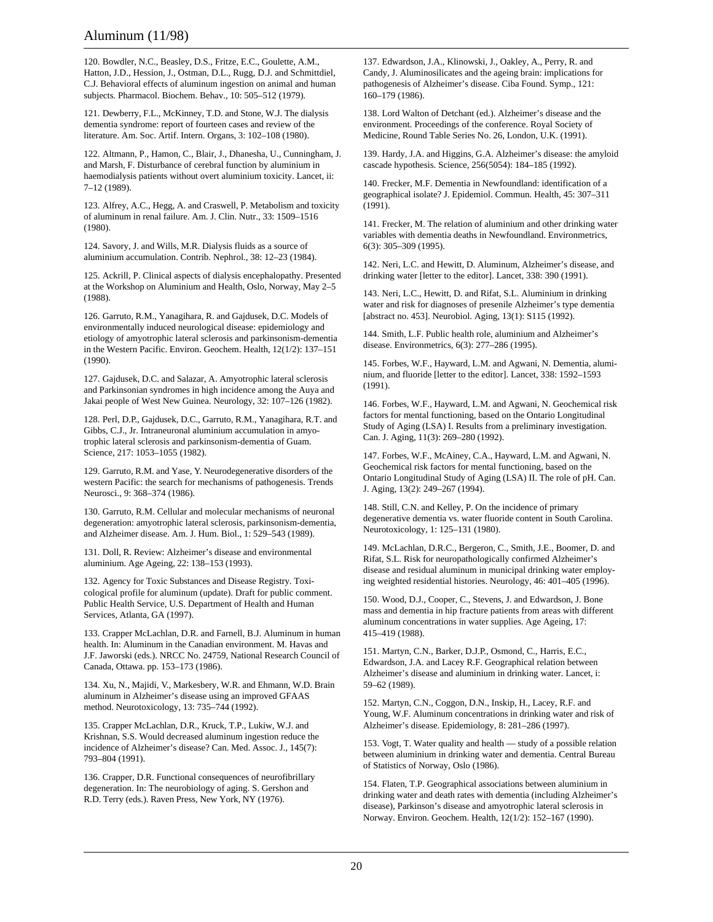120. Bowdler, N.C., Beasley, D.S., Fritze, E.C., Goulette, A.M., Hatton, J.D., Hession, J., Ostman, D.L., Rugg, D.J. and Schmittdiel, C.J. Behavioral effects of aluminum ingestion on animal and human subjects. Pharmacol. Biochem. Behav., 10: 505–512 (1979).

121. Dewberry, F.L., McKinney, T.D. and Stone, W.J. The dialysis dementia syndrome: report of fourteen cases and review of the literature. Am. Soc. Artif. Intern. Organs, 3: 102–108 (1980).

122. Altmann, P., Hamon, C., Blair, J., Dhanesha, U., Cunningham, J. and Marsh, F. Disturbance of cerebral function by aluminium in haemodialysis patients without overt aluminium toxicity. Lancet, ii: 7–12 (1989).

123. Alfrey, A.C., Hegg, A. and Craswell, P. Metabolism and toxicity of aluminum in renal failure. Am. J. Clin. Nutr., 33: 1509–1516 (1980).

124. Savory, J. and Wills, M.R. Dialysis fluids as a source of aluminium accumulation. Contrib. Nephrol., 38: 12–23 (1984).

125. Ackrill, P. Clinical aspects of dialysis encephalopathy. Presented at the Workshop on Aluminium and Health, Oslo, Norway, May 2–5 (1988).

126. Garruto, R.M., Yanagihara, R. and Gajdusek, D.C. Models of environmentally induced neurological disease: epidemiology and etiology of amyotrophic lateral sclerosis and parkinsonism-dementia in the Western Pacific. Environ. Geochem. Health, 12(1/2): 137–151 (1990).

127. Gajdusek, D.C. and Salazar, A. Amyotrophic lateral sclerosis and Parkinsonian syndromes in high incidence among the Auya and Jakai people of West New Guinea. Neurology, 32: 107–126 (1982).

128. Perl, D.P., Gajdusek, D.C., Garruto, R.M., Yanagihara, R.T. and Gibbs, C.J., Jr. Intraneuronal aluminium accumulation in amyotrophic lateral sclerosis and parkinsonism-dementia of Guam. Science, 217: 1053–1055 (1982).

129. Garruto, R.M. and Yase, Y. Neurodegenerative disorders of the western Pacific: the search for mechanisms of pathogenesis. Trends Neurosci., 9: 368–374 (1986).

130. Garruto, R.M. Cellular and molecular mechanisms of neuronal degeneration: amyotrophic lateral sclerosis, parkinsonism-dementia, and Alzheimer disease. Am. J. Hum. Biol., 1: 529–543 (1989).

131. Doll, R. Review: Alzheimer's disease and environmental aluminium. Age Ageing, 22: 138–153 (1993).

132. Agency for Toxic Substances and Disease Registry. Toxicological profile for aluminum (update). Draft for public comment. Public Health Service, U.S. Department of Health and Human Services, Atlanta, GA (1997).

133. Crapper McLachlan, D.R. and Farnell, B.J. Aluminum in human health. In: Aluminum in the Canadian environment. M. Havas and J.F. Jaworski (eds.). NRCC No. 24759, National Research Council of Canada, Ottawa. pp. 153–173 (1986).

134. Xu, N., Majidi, V., Markesbery, W.R. and Ehmann, W.D. Brain aluminum in Alzheimer's disease using an improved GFAAS method. Neurotoxicology, 13: 735–744 (1992).

135. Crapper McLachlan, D.R., Kruck, T.P., Lukiw, W.J. and Krishnan, S.S. Would decreased aluminum ingestion reduce the incidence of Alzheimer's disease? Can. Med. Assoc. J., 145(7): 793–804 (1991).

136. Crapper, D.R. Functional consequences of neurofibrillary degeneration. In: The neurobiology of aging. S. Gershon and R.D. Terry (eds.). Raven Press, New York, NY (1976).

137. Edwardson, J.A., Klinowski, J., Oakley, A., Perry, R. and Candy, J. Aluminosilicates and the ageing brain: implications for pathogenesis of Alzheimer's disease. Ciba Found. Symp., 121: 160–179 (1986).

138. Lord Walton of Detchant (ed.). Alzheimer's disease and the environment. Proceedings of the conference. Royal Society of Medicine, Round Table Series No. 26, London, U.K. (1991).

139. Hardy, J.A. and Higgins, G.A. Alzheimer's disease: the amyloid cascade hypothesis. Science, 256(5054): 184–185 (1992).

140. Frecker, M.F. Dementia in Newfoundland: identification of a geographical isolate? J. Epidemiol. Commun. Health, 45: 307–311 (1991).

141. Frecker, M. The relation of aluminium and other drinking water variables with dementia deaths in Newfoundland. Environmetrics, 6(3): 305–309 (1995).

142. Neri, L.C. and Hewitt, D. Aluminum, Alzheimer's disease, and drinking water [letter to the editor]. Lancet, 338: 390 (1991).

143. Neri, L.C., Hewitt, D. and Rifat, S.L. Aluminium in drinking water and risk for diagnoses of presenile Alzheimer's type dementia [abstract no. 453]. Neurobiol. Aging, 13(1): S115 (1992).

144. Smith, L.F. Public health role, aluminium and Alzheimer's disease. Environmetrics, 6(3): 277–286 (1995).

145. Forbes, W.F., Hayward, L.M. and Agwani, N. Dementia, aluminium, and fluoride [letter to the editor]. Lancet, 338: 1592–1593 (1991).

146. Forbes, W.F., Hayward, L.M. and Agwani, N. Geochemical risk factors for mental functioning, based on the Ontario Longitudinal Study of Aging (LSA) I. Results from a preliminary investigation. Can. J. Aging, 11(3): 269–280 (1992).

147. Forbes, W.F., McAiney, C.A., Hayward, L.M. and Agwani, N. Geochemical risk factors for mental functioning, based on the Ontario Longitudinal Study of Aging (LSA) II. The role of pH. Can. J. Aging, 13(2): 249–267 (1994).

148. Still, C.N. and Kelley, P. On the incidence of primary degenerative dementia vs. water fluoride content in South Carolina. Neurotoxicology, 1: 125–131 (1980).

149. McLachlan, D.R.C., Bergeron, C., Smith, J.E., Boomer, D. and Rifat, S.L. Risk for neuropathologically confirmed Alzheimer's disease and residual aluminum in municipal drinking water employing weighted residential histories. Neurology, 46: 401–405 (1996).

150. Wood, D.J., Cooper, C., Stevens, J. and Edwardson, J. Bone mass and dementia in hip fracture patients from areas with different aluminum concentrations in water supplies. Age Ageing, 17: 415–419 (1988).

151. Martyn, C.N., Barker, D.J.P., Osmond, C., Harris, E.C., Edwardson, J.A. and Lacey R.F. Geographical relation between Alzheimer's disease and aluminium in drinking water. Lancet, i: 59–62 (1989).

152. Martyn, C.N., Coggon, D.N., Inskip, H., Lacey, R.F. and Young, W.F. Aluminum concentrations in drinking water and risk of Alzheimer's disease. Epidemiology, 8: 281–286 (1997).

153. Vogt, T. Water quality and health — study of a possible relation between aluminium in drinking water and dementia. Central Bureau of Statistics of Norway, Oslo (1986).

154. Flaten, T.P. Geographical associations between aluminium in drinking water and death rates with dementia (including Alzheimer's disease), Parkinson's disease and amyotrophic lateral sclerosis in Norway. Environ. Geochem. Health, 12(1/2): 152–167 (1990).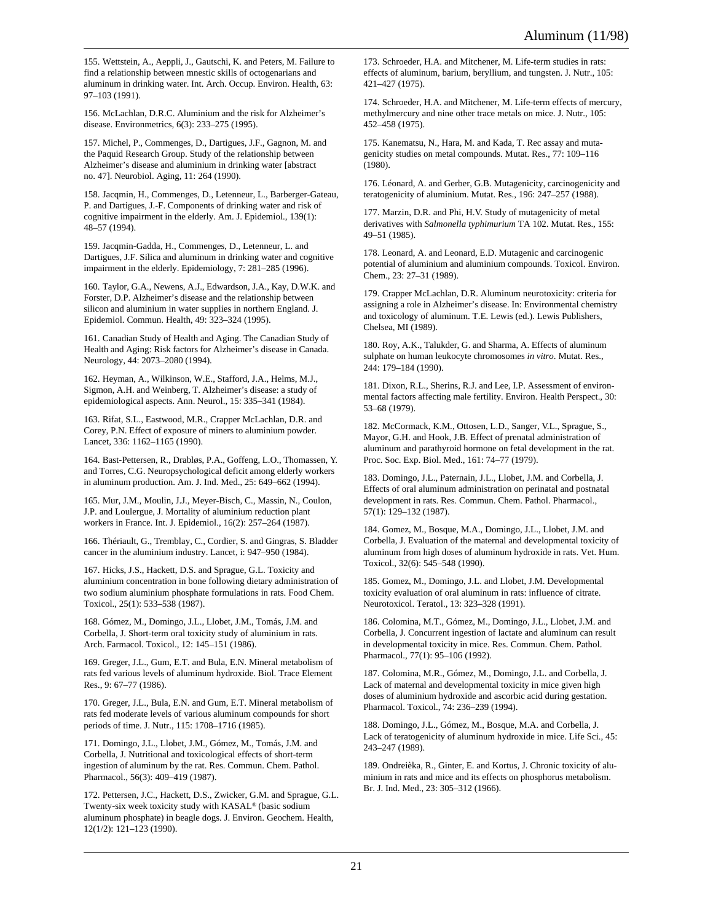155. Wettstein, A., Aeppli, J., Gautschi, K. and Peters, M. Failure to find a relationship between mnestic skills of octogenarians and aluminum in drinking water. Int. Arch. Occup. Environ. Health, 63: 97–103 (1991).

156. McLachlan, D.R.C. Aluminium and the risk for Alzheimer's disease. Environmetrics, 6(3): 233–275 (1995).

157. Michel, P., Commenges, D., Dartigues, J.F., Gagnon, M. and the Paquid Research Group. Study of the relationship between Alzheimer's disease and aluminium in drinking water [abstract no. 47]. Neurobiol. Aging, 11: 264 (1990).

158. Jacqmin, H., Commenges, D., Letenneur, L., Barberger-Gateau, P. and Dartigues, J.-F. Components of drinking water and risk of cognitive impairment in the elderly. Am. J. Epidemiol., 139(1): 48–57 (1994).

159. Jacqmin-Gadda, H., Commenges, D., Letenneur, L. and Dartigues, J.F. Silica and aluminum in drinking water and cognitive impairment in the elderly. Epidemiology, 7: 281–285 (1996).

160. Taylor, G.A., Newens, A.J., Edwardson, J.A., Kay, D.W.K. and Forster, D.P. Alzheimer's disease and the relationship between silicon and aluminium in water supplies in northern England. J. Epidemiol. Commun. Health, 49: 323–324 (1995).

161. Canadian Study of Health and Aging. The Canadian Study of Health and Aging: Risk factors for Alzheimer's disease in Canada. Neurology, 44: 2073–2080 (1994).

162. Heyman, A., Wilkinson, W.E., Stafford, J.A., Helms, M.J., Sigmon, A.H. and Weinberg, T. Alzheimer's disease: a study of epidemiological aspects. Ann. Neurol., 15: 335–341 (1984).

163. Rifat, S.L., Eastwood, M.R., Crapper McLachlan, D.R. and Corey, P.N. Effect of exposure of miners to aluminium powder. Lancet, 336: 1162–1165 (1990).

164. Bast-Pettersen, R., Drabløs, P.A., Goffeng, L.O., Thomassen, Y. and Torres, C.G. Neuropsychological deficit among elderly workers in aluminum production. Am. J. Ind. Med., 25: 649–662 (1994).

165. Mur, J.M., Moulin, J.J., Meyer-Bisch, C., Massin, N., Coulon, J.P. and Loulergue, J. Mortality of aluminium reduction plant workers in France. Int. J. Epidemiol., 16(2): 257–264 (1987).

166. Thériault, G., Tremblay, C., Cordier, S. and Gingras, S. Bladder cancer in the aluminium industry. Lancet, i: 947–950 (1984).

167. Hicks, J.S., Hackett, D.S. and Sprague, G.L. Toxicity and aluminium concentration in bone following dietary administration of two sodium aluminium phosphate formulations in rats. Food Chem. Toxicol., 25(1): 533–538 (1987).

168. Gómez, M., Domingo, J.L., Llobet, J.M., Tomás, J.M. and Corbella, J. Short-term oral toxicity study of aluminium in rats. Arch. Farmacol. Toxicol., 12: 145–151 (1986).

169. Greger, J.L., Gum, E.T. and Bula, E.N. Mineral metabolism of rats fed various levels of aluminum hydroxide. Biol. Trace Element Res., 9: 67–77 (1986).

170. Greger, J.L., Bula, E.N. and Gum, E.T. Mineral metabolism of rats fed moderate levels of various aluminum compounds for short periods of time. J. Nutr., 115: 1708–1716 (1985).

171. Domingo, J.L., Llobet, J.M., Gómez, M., Tomás, J.M. and Corbella, J. Nutritional and toxicological effects of short-term ingestion of aluminum by the rat. Res. Commun. Chem. Pathol. Pharmacol., 56(3): 409–419 (1987).

172. Pettersen, J.C., Hackett, D.S., Zwicker, G.M. and Sprague, G.L. Twenty-six week toxicity study with KASAL® (basic sodium aluminum phosphate) in beagle dogs. J. Environ. Geochem. Health, 12(1/2): 121–123 (1990).

173. Schroeder, H.A. and Mitchener, M. Life-term studies in rats: effects of aluminum, barium, beryllium, and tungsten. J. Nutr., 105: 421–427 (1975).

174. Schroeder, H.A. and Mitchener, M. Life-term effects of mercury, methylmercury and nine other trace metals on mice. J. Nutr., 105: 452–458 (1975).

175. Kanematsu, N., Hara, M. and Kada, T. Rec assay and mutagenicity studies on metal compounds. Mutat. Res., 77: 109–116 (1980).

176. Léonard, A. and Gerber, G.B. Mutagenicity, carcinogenicity and teratogenicity of aluminium. Mutat. Res., 196: 247–257 (1988).

177. Marzin, D.R. and Phi, H.V. Study of mutagenicity of metal derivatives with *Salmonella typhimurium* TA 102. Mutat. Res., 155: 49–51 (1985).

178. Leonard, A. and Leonard, E.D. Mutagenic and carcinogenic potential of aluminium and aluminium compounds. Toxicol. Environ. Chem., 23: 27–31 (1989).

179. Crapper McLachlan, D.R. Aluminum neurotoxicity: criteria for assigning a role in Alzheimer's disease. In: Environmental chemistry and toxicology of aluminum. T.E. Lewis (ed.). Lewis Publishers, Chelsea, MI (1989).

180. Roy, A.K., Talukder, G. and Sharma, A. Effects of aluminum sulphate on human leukocyte chromosomes *in vitro*. Mutat. Res., 244: 179–184 (1990).

181. Dixon, R.L., Sherins, R.J. and Lee, I.P. Assessment of environmental factors affecting male fertility. Environ. Health Perspect., 30: 53–68 (1979).

182. McCormack, K.M., Ottosen, L.D., Sanger, V.L., Sprague, S., Mayor, G.H. and Hook, J.B. Effect of prenatal administration of aluminum and parathyroid hormone on fetal development in the rat. Proc. Soc. Exp. Biol. Med., 161: 74–77 (1979).

183. Domingo, J.L., Paternain, J.L., Llobet, J.M. and Corbella, J. Effects of oral aluminum administration on perinatal and postnatal development in rats. Res. Commun. Chem. Pathol. Pharmacol., 57(1): 129–132 (1987).

184. Gomez, M., Bosque, M.A., Domingo, J.L., Llobet, J.M. and Corbella, J. Evaluation of the maternal and developmental toxicity of aluminum from high doses of aluminum hydroxide in rats. Vet. Hum. Toxicol., 32(6): 545–548 (1990).

185. Gomez, M., Domingo, J.L. and Llobet, J.M. Developmental toxicity evaluation of oral aluminum in rats: influence of citrate. Neurotoxicol. Teratol., 13: 323–328 (1991).

186. Colomina, M.T., Gómez, M., Domingo, J.L., Llobet, J.M. and Corbella, J. Concurrent ingestion of lactate and aluminum can result in developmental toxicity in mice. Res. Commun. Chem. Pathol. Pharmacol., 77(1): 95–106 (1992).

187. Colomina, M.R., Gómez, M., Domingo, J.L. and Corbella, J. Lack of maternal and developmental toxicity in mice given high doses of aluminium hydroxide and ascorbic acid during gestation. Pharmacol. Toxicol., 74: 236–239 (1994).

188. Domingo, J.L., Gómez, M., Bosque, M.A. and Corbella, J. Lack of teratogenicity of aluminum hydroxide in mice. Life Sci., 45: 243–247 (1989).

189. Ondreièka, R., Ginter, E. and Kortus, J. Chronic toxicity of aluminium in rats and mice and its effects on phosphorus metabolism. Br. J. Ind. Med., 23: 305–312 (1966).